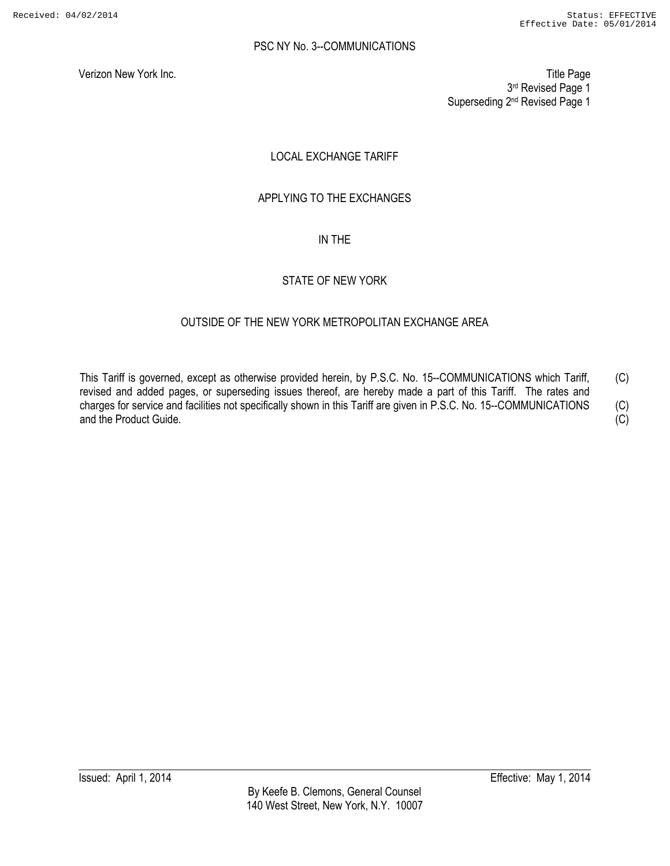Verizon New York Inc. **The Page** 3rd Revised Page 1 Superseding 2<sup>nd</sup> Revised Page 1

# LOCAL EXCHANGE TARIFF

# APPLYING TO THE EXCHANGES

#### IN THE

#### STATE OF NEW YORK

#### OUTSIDE OF THE NEW YORK METROPOLITAN EXCHANGE AREA

This Tariff is governed, except as otherwise provided herein, by P.S.C. No. 15--COMMUNICATIONS which Tariff, revised and added pages, or superseding issues thereof, are hereby made a part of this Tariff. The rates and charges for service and facilities not specifically shown in this Tariff are given in P.S.C. No. 15--COMMUNICATIONS and the Product Guide. (C) (C) (C)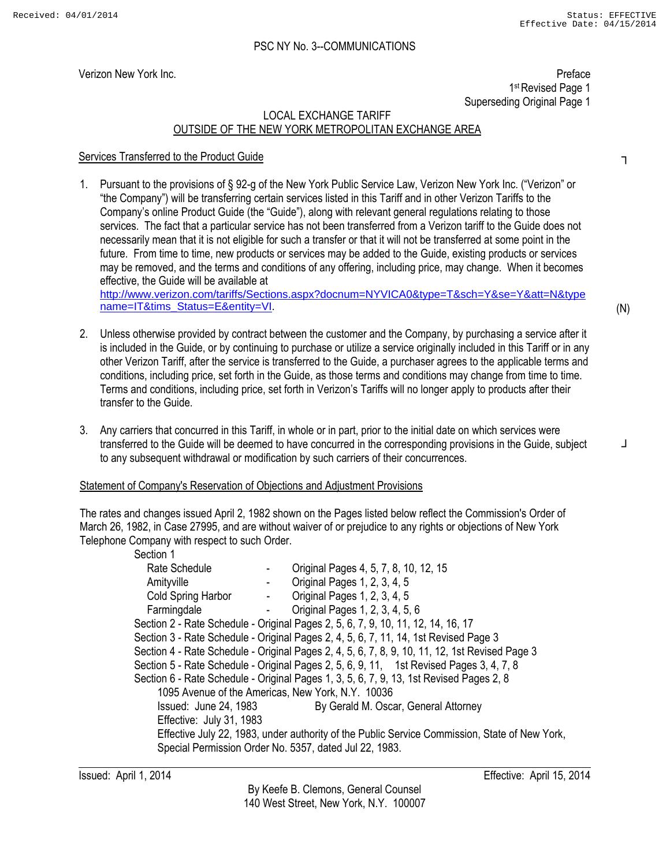┐

(N)

┘

#### PSC NY No. 3--COMMUNICATIONS

Verizon New York Inc. Preface 1<sup>st</sup> Revised Page 1 Superseding Original Page 1

# LOCAL EXCHANGE TARIFF OUTSIDE OF THE NEW YORK METROPOLITAN EXCHANGE AREA

#### Services Transferred to the Product Guide

1. Pursuant to the provisions of § 92-g of the New York Public Service Law, Verizon New York Inc. ("Verizon" or "the Company") will be transferring certain services listed in this Tariff and in other Verizon Tariffs to the Company's online Product Guide (the "Guide"), along with relevant general regulations relating to those services. The fact that a particular service has not been transferred from a Verizon tariff to the Guide does not necessarily mean that it is not eligible for such a transfer or that it will not be transferred at some point in the future. From time to time, new products or services may be added to the Guide, existing products or services may be removed, and the terms and conditions of any offering, including price, may change. When it becomes effective, the Guide will be available at http://www.verizon.com/tariffs/Sections.aspx?docnum=NYVICA0&type=T&sch=Y&se=Y&att=N&type

name=IT&tims\_Status=E&entity=VI.

- 2. Unless otherwise provided by contract between the customer and the Company, by purchasing a service after it is included in the Guide, or by continuing to purchase or utilize a service originally included in this Tariff or in any other Verizon Tariff, after the service is transferred to the Guide, a purchaser agrees to the applicable terms and conditions, including price, set forth in the Guide, as those terms and conditions may change from time to time. Terms and conditions, including price, set forth in Verizon's Tariffs will no longer apply to products after their transfer to the Guide.
- 3. Any carriers that concurred in this Tariff, in whole or in part, prior to the initial date on which services were transferred to the Guide will be deemed to have concurred in the corresponding provisions in the Guide, subject to any subsequent withdrawal or modification by such carriers of their concurrences.

#### Statement of Company's Reservation of Objections and Adjustment Provisions

The rates and changes issued April 2, 1982 shown on the Pages listed below reflect the Commission's Order of March 26, 1982, in Case 27995, and are without waiver of or prejudice to any rights or objections of New York Telephone Company with respect to such Order. Section 1

| <b>OCULUIT</b> I         |                     |                                                                                                |
|--------------------------|---------------------|------------------------------------------------------------------------------------------------|
| Rate Schedule            |                     | Original Pages 4, 5, 7, 8, 10, 12, 15                                                          |
| Amityville               | $\sim 100$          | Original Pages 1, 2, 3, 4, 5                                                                   |
| Cold Spring Harbor       | $\sim 100$          | Original Pages 1, 2, 3, 4, 5                                                                   |
| Farmingdale              | $\sigma_{\rm{max}}$ | Original Pages 1, 2, 3, 4, 5, 6                                                                |
|                          |                     | Section 2 - Rate Schedule - Original Pages 2, 5, 6, 7, 9, 10, 11, 12, 14, 16, 17               |
|                          |                     | Section 3 - Rate Schedule - Original Pages 2, 4, 5, 6, 7, 11, 14, 1st Revised Page 3           |
|                          |                     | Section 4 - Rate Schedule - Original Pages 2, 4, 5, 6, 7, 8, 9, 10, 11, 12, 1st Revised Page 3 |
|                          |                     | Section 5 - Rate Schedule - Original Pages 2, 5, 6, 9, 11, 1st Revised Pages 3, 4, 7, 8        |
|                          |                     | Section 6 - Rate Schedule - Original Pages 1, 3, 5, 6, 7, 9, 13, 1st Revised Pages 2, 8        |
|                          |                     | 1095 Avenue of the Americas, New York, N.Y. 10036                                              |
| Issued: June 24, 1983    |                     | By Gerald M. Oscar, General Attorney                                                           |
| Effective: July 31, 1983 |                     |                                                                                                |
|                          |                     | Effective July 22, 1983, under authority of the Public Service Commission, State of New York,  |
|                          |                     | Special Permission Order No. 5357, dated Jul 22, 1983.                                         |
|                          |                     |                                                                                                |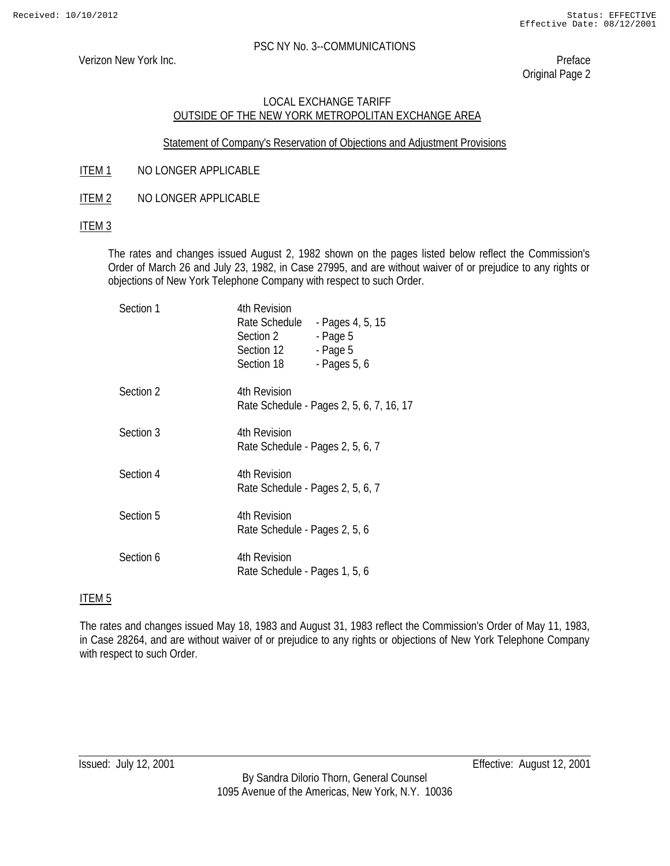Verizon New York Inc. **Preface** 

Original Page 2

#### LOCAL EXCHANGE TARIFF OUTSIDE OF THE NEW YORK METROPOLITAN EXCHANGE AREA

#### Statement of Company's Reservation of Objections and Adjustment Provisions

ITEM 1 NO LONGER APPLICABLE

ITEM 2 NO LONGER APPLICABLE

#### ITEM 3

 The rates and changes issued August 2, 1982 shown on the pages listed below reflect the Commission's Order of March 26 and July 23, 1982, in Case 27995, and are without waiver of or prejudice to any rights or objections of New York Telephone Company with respect to such Order.

| Section 1 | 4th Revision<br>Rate Schedule<br>- Pages 4, 5, 15<br>Section 2<br>- Page 5<br>- Page 5<br>Section 12<br>- Pages 5, 6<br>Section 18 |
|-----------|------------------------------------------------------------------------------------------------------------------------------------|
| Section 2 | 4th Revision<br>Rate Schedule - Pages 2, 5, 6, 7, 16, 17                                                                           |
| Section 3 | 4th Revision<br>Rate Schedule - Pages 2, 5, 6, 7                                                                                   |
| Section 4 | 4th Revision<br>Rate Schedule - Pages 2, 5, 6, 7                                                                                   |
| Section 5 | 4th Revision<br>Rate Schedule - Pages 2, 5, 6                                                                                      |
| Section 6 | 4th Revision<br>Rate Schedule - Pages 1, 5, 6                                                                                      |

#### ITEM 5

The rates and changes issued May 18, 1983 and August 31, 1983 reflect the Commission's Order of May 11, 1983, in Case 28264, and are without waiver of or prejudice to any rights or objections of New York Telephone Company with respect to such Order.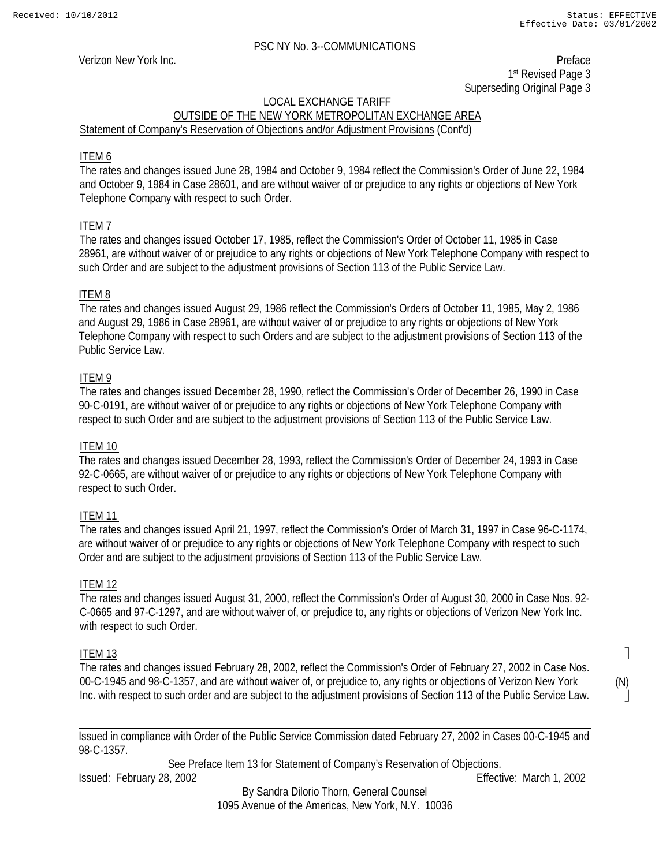Verizon New York Inc. **Preface** 1st Revised Page 3 Superseding Original Page 3

#### LOCAL EXCHANGE TARIFF

#### OUTSIDE OF THE NEW YORK METROPOLITAN EXCHANGE AREA Statement of Company's Reservation of Objections and/or Adjustment Provisions (Cont'd)

#### ITEM 6

The rates and changes issued June 28, 1984 and October 9, 1984 reflect the Commission's Order of June 22, 1984 and October 9, 1984 in Case 28601, and are without waiver of or prejudice to any rights or objections of New York Telephone Company with respect to such Order.

#### ITEM 7

 The rates and changes issued October 17, 1985, reflect the Commission's Order of October 11, 1985 in Case 28961, are without waiver of or prejudice to any rights or objections of New York Telephone Company with respect to such Order and are subject to the adjustment provisions of Section 113 of the Public Service Law.

#### ITEM 8

 The rates and changes issued August 29, 1986 reflect the Commission's Orders of October 11, 1985, May 2, 1986 and August 29, 1986 in Case 28961, are without waiver of or prejudice to any rights or objections of New York Telephone Company with respect to such Orders and are subject to the adjustment provisions of Section 113 of the Public Service Law.

#### ITEM 9

 The rates and changes issued December 28, 1990, reflect the Commission's Order of December 26, 1990 in Case 90-C-0191, are without waiver of or prejudice to any rights or objections of New York Telephone Company with respect to such Order and are subject to the adjustment provisions of Section 113 of the Public Service Law.

#### ITEM 10

The rates and changes issued December 28, 1993, reflect the Commission's Order of December 24, 1993 in Case 92-C-0665, are without waiver of or prejudice to any rights or objections of New York Telephone Company with respect to such Order.

#### ITEM 11

 The rates and changes issued April 21, 1997, reflect the Commission's Order of March 31, 1997 in Case 96-C-1174, are without waiver of or prejudice to any rights or objections of New York Telephone Company with respect to such Order and are subject to the adjustment provisions of Section 113 of the Public Service Law.

#### ITEM 12

The rates and changes issued August 31, 2000, reflect the Commission's Order of August 30, 2000 in Case Nos. 92- C-0665 and 97-C-1297, and are without waiver of, or prejudice to, any rights or objections of Verizon New York Inc. with respect to such Order.

#### ITEM 13

The rates and changes issued February 28, 2002, reflect the Commission's Order of February 27, 2002 in Case Nos. 00-C-1945 and 98-C-1357, and are without waiver of, or prejudice to, any rights or objections of Verizon New York Inc. with respect to such order and are subject to the adjustment provisions of Section 113 of the Public Service Law.

Issued in compliance with Order of the Public Service Commission dated February 27, 2002 in Cases 00-C-1945 and 98-C-1357.

See Preface Item 13 for Statement of Company's Reservation of Objections.

Issued: February 28, 2002 Effective: March 1, 2002

By Sandra Dilorio Thorn, General Counsel

 $\overline{\phantom{a}}$ 

(N) 」

1095 Avenue of the Americas, New York, N.Y. 10036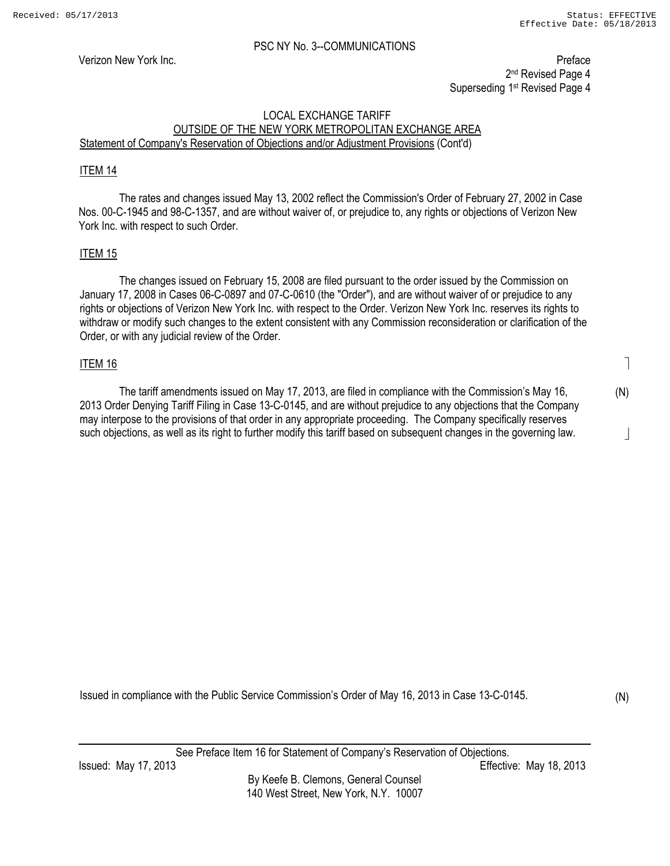Verizon New York Inc. **Preface** 2<sup>nd</sup> Revised Page 4 Superseding 1st Revised Page 4

#### LOCAL EXCHANGE TARIFF OUTSIDE OF THE NEW YORK METROPOLITAN EXCHANGE AREA Statement of Company's Reservation of Objections and/or Adjustment Provisions (Cont'd)

#### ITEM 14

 The rates and changes issued May 13, 2002 reflect the Commission's Order of February 27, 2002 in Case Nos. 00-C-1945 and 98-C-1357, and are without waiver of, or prejudice to, any rights or objections of Verizon New York Inc. with respect to such Order.

#### ITEM 15

 The changes issued on February 15, 2008 are filed pursuant to the order issued by the Commission on January 17, 2008 in Cases 06-C-0897 and 07-C-0610 (the "Order"), and are without waiver of or prejudice to any rights or objections of Verizon New York Inc. with respect to the Order. Verizon New York Inc. reserves its rights to withdraw or modify such changes to the extent consistent with any Commission reconsideration or clarification of the Order, or with any judicial review of the Order.

#### ITEM 16

 The tariff amendments issued on May 17, 2013, are filed in compliance with the Commission's May 16, 2013 Order Denying Tariff Filing in Case 13-C-0145, and are without prejudice to any objections that the Company may interpose to the provisions of that order in any appropriate proceeding. The Company specifically reserves such objections, as well as its right to further modify this tariff based on subsequent changes in the governing law.

Issued in compliance with the Public Service Commission's Order of May 16, 2013 in Case 13-C-0145.

(N)

1

(N)

 $\overline{\phantom{a}}$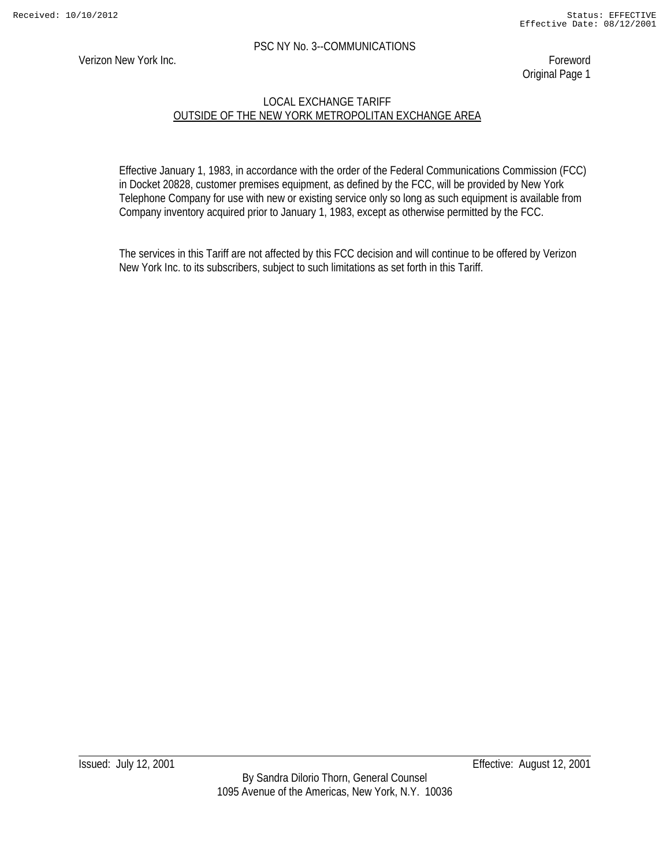Verizon New York Inc. **Foreword** 

Original Page 1

# LOCAL EXCHANGE TARIFF OUTSIDE OF THE NEW YORK METROPOLITAN EXCHANGE AREA

Effective January 1, 1983, in accordance with the order of the Federal Communications Commission (FCC) in Docket 20828, customer premises equipment, as defined by the FCC, will be provided by New York Telephone Company for use with new or existing service only so long as such equipment is available from Company inventory acquired prior to January 1, 1983, except as otherwise permitted by the FCC.

The services in this Tariff are not affected by this FCC decision and will continue to be offered by Verizon New York Inc. to its subscribers, subject to such limitations as set forth in this Tariff.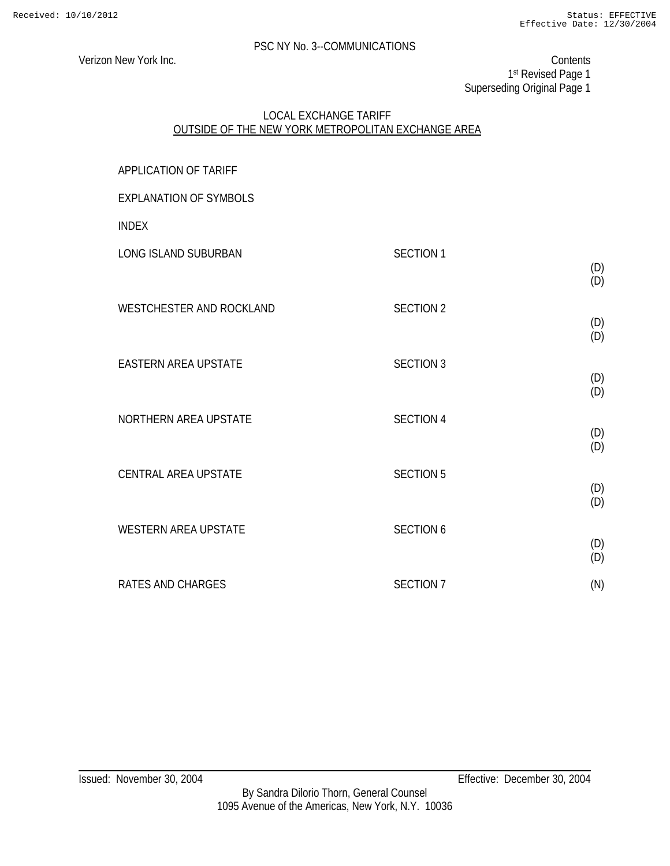Verizon New York Inc. Contents 1st Revised Page 1 Superseding Original Page 1

#### LOCAL EXCHANGE TARIFF OUTSIDE OF THE NEW YORK METROPOLITAN EXCHANGE AREA

EXPLANATION OF SYMBOLS

INDEX

| <b>SECTION 2</b><br>WESTCHESTER AND ROCKLAND<br>(D)<br>(D)<br><b>SECTION 3</b><br>EASTERN AREA UPSTATE<br>(D)<br>(D)<br>NORTHERN AREA UPSTATE<br><b>SECTION 4</b><br>(D)<br>(D)<br>CENTRAL AREA UPSTATE<br><b>SECTION 5</b><br>(D)<br>(D)<br><b>WESTERN AREA UPSTATE</b><br><b>SECTION 6</b><br>(D)<br>(D)<br>(N)<br>RATES AND CHARGES<br><b>SECTION 7</b> | LONG ISLAND SUBURBAN | <b>SECTION 1</b> | (D)<br>(D) |
|------------------------------------------------------------------------------------------------------------------------------------------------------------------------------------------------------------------------------------------------------------------------------------------------------------------------------------------------------------|----------------------|------------------|------------|
|                                                                                                                                                                                                                                                                                                                                                            |                      |                  |            |
|                                                                                                                                                                                                                                                                                                                                                            |                      |                  |            |
|                                                                                                                                                                                                                                                                                                                                                            |                      |                  |            |
|                                                                                                                                                                                                                                                                                                                                                            |                      |                  |            |
|                                                                                                                                                                                                                                                                                                                                                            |                      |                  |            |
|                                                                                                                                                                                                                                                                                                                                                            |                      |                  |            |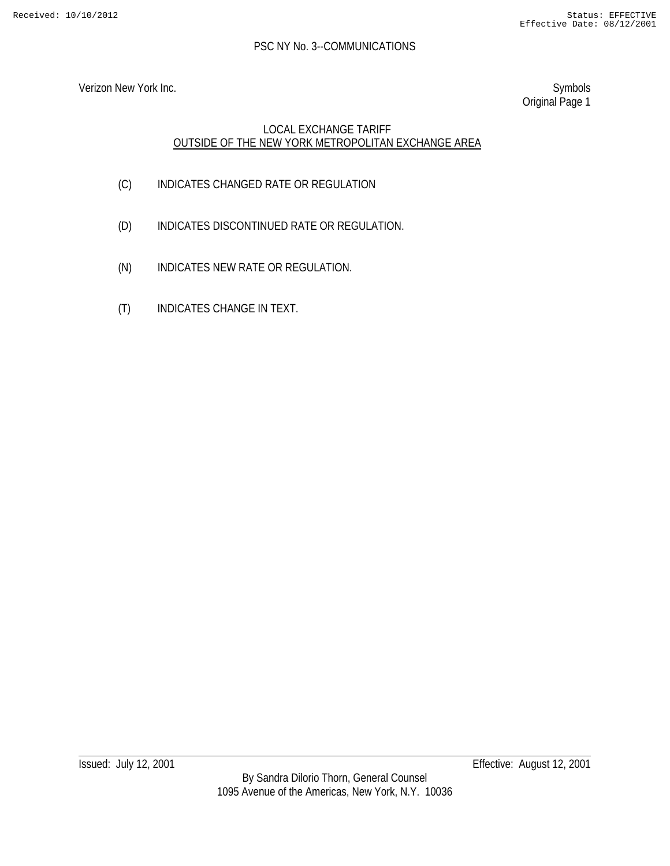Verizon New York Inc. Symbols

Original Page 1

# LOCAL EXCHANGE TARIFF OUTSIDE OF THE NEW YORK METROPOLITAN EXCHANGE AREA

- (C) INDICATES CHANGED RATE OR REGULATION
- (D) INDICATES DISCONTINUED RATE OR REGULATION.
- (N) INDICATES NEW RATE OR REGULATION.
- (T) INDICATES CHANGE IN TEXT.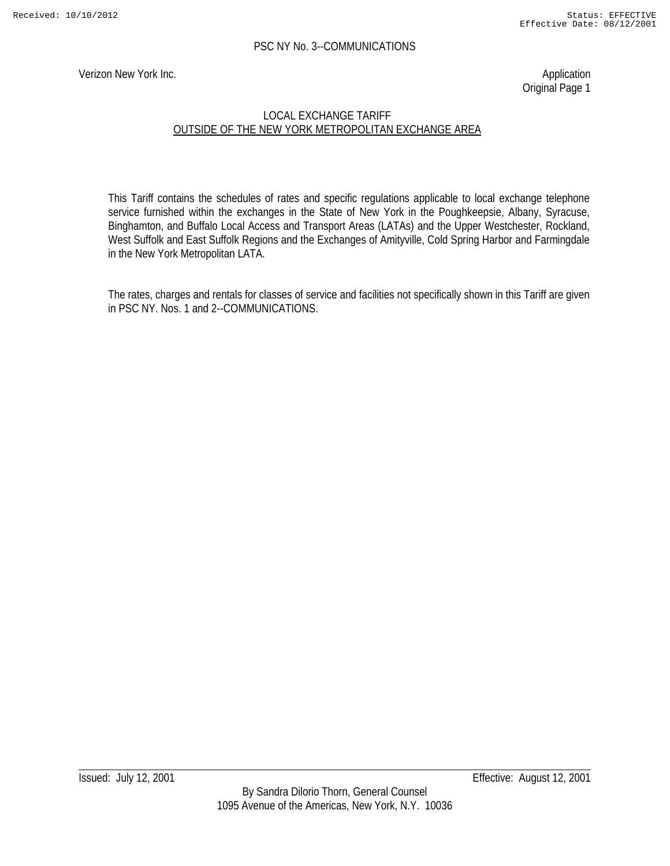Verizon New York Inc. **Application** 

Original Page 1

#### LOCAL EXCHANGE TARIFF OUTSIDE OF THE NEW YORK METROPOLITAN EXCHANGE AREA

This Tariff contains the schedules of rates and specific regulations applicable to local exchange telephone service furnished within the exchanges in the State of New York in the Poughkeepsie, Albany, Syracuse, Binghamton, and Buffalo Local Access and Transport Areas (LATAs) and the Upper Westchester, Rockland, West Suffolk and East Suffolk Regions and the Exchanges of Amityville, Cold Spring Harbor and Farmingdale in the New York Metropolitan LATA.

The rates, charges and rentals for classes of service and facilities not specifically shown in this Tariff are given in PSC NY. Nos. 1 and 2--COMMUNICATIONS.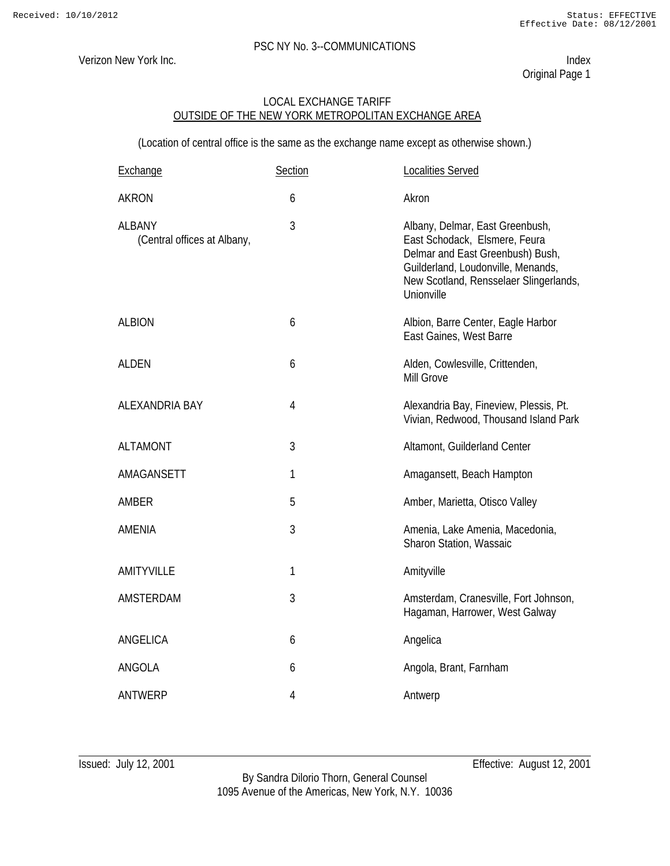Verizon New York Inc. **Index** 

Original Page 1

#### LOCAL EXCHANGE TARIFF OUTSIDE OF THE NEW YORK METROPOLITAN EXCHANGE AREA

(Location of central office is the same as the exchange name except as otherwise shown.)

| Exchange                                     | <b>Section</b> | <b>Localities Served</b>                                                                                                                                                                           |
|----------------------------------------------|----------------|----------------------------------------------------------------------------------------------------------------------------------------------------------------------------------------------------|
| <b>AKRON</b>                                 | 6              | Akron                                                                                                                                                                                              |
| <b>ALBANY</b><br>(Central offices at Albany, | 3              | Albany, Delmar, East Greenbush,<br>East Schodack, Elsmere, Feura<br>Delmar and East Greenbush) Bush,<br>Guilderland, Loudonville, Menands,<br>New Scotland, Rensselaer Slingerlands,<br>Unionville |
| <b>ALBION</b>                                | 6              | Albion, Barre Center, Eagle Harbor<br>East Gaines, West Barre                                                                                                                                      |
| <b>ALDEN</b>                                 | 6              | Alden, Cowlesville, Crittenden,<br>Mill Grove                                                                                                                                                      |
| ALEXANDRIA BAY                               | 4              | Alexandria Bay, Fineview, Plessis, Pt.<br>Vivian, Redwood, Thousand Island Park                                                                                                                    |
| <b>ALTAMONT</b>                              | 3              | Altamont, Guilderland Center                                                                                                                                                                       |
| AMAGANSETT                                   | 1              | Amagansett, Beach Hampton                                                                                                                                                                          |
| AMBER                                        | 5              | Amber, Marietta, Otisco Valley                                                                                                                                                                     |
| AMENIA                                       | 3              | Amenia, Lake Amenia, Macedonia,<br>Sharon Station, Wassaic                                                                                                                                         |
| AMITYVILLE                                   | 1              | Amityville                                                                                                                                                                                         |
| AMSTERDAM                                    | 3              | Amsterdam, Cranesville, Fort Johnson,<br>Hagaman, Harrower, West Galway                                                                                                                            |
| ANGELICA                                     | 6              | Angelica                                                                                                                                                                                           |
| ANGOLA                                       | 6              | Angola, Brant, Farnham                                                                                                                                                                             |
| ANTWERP                                      | 4              | Antwerp                                                                                                                                                                                            |
|                                              |                |                                                                                                                                                                                                    |

Issued: July 12, 2001 Effective: August 12, 2001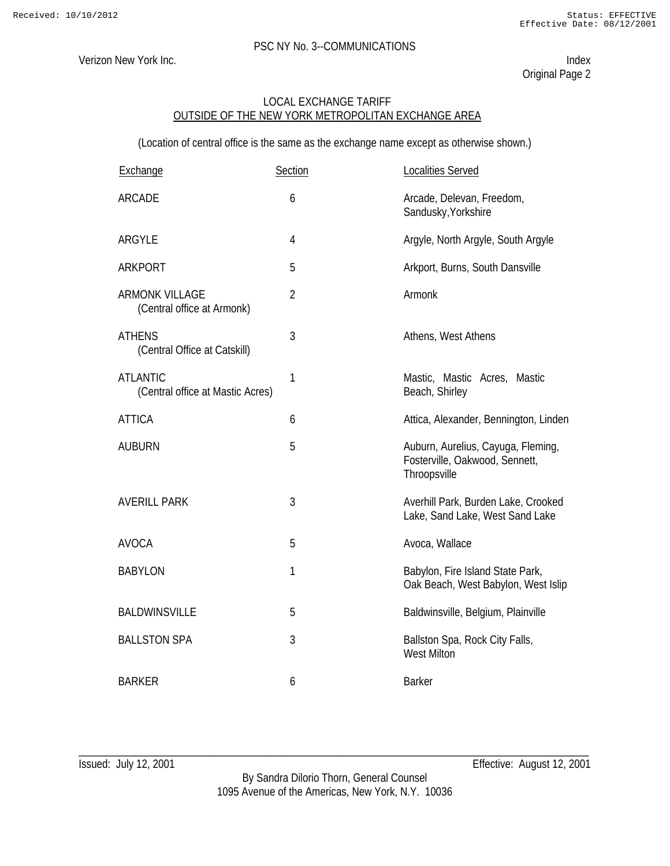Verizon New York Inc. **Index** 

Original Page 2

#### LOCAL EXCHANGE TARIFF OUTSIDE OF THE NEW YORK METROPOLITAN EXCHANGE AREA

(Location of central office is the same as the exchange name except as otherwise shown.)

| Exchange                                            | <b>Section</b> | <b>Localities Served</b>                                                             |
|-----------------------------------------------------|----------------|--------------------------------------------------------------------------------------|
| <b>ARCADE</b>                                       | 6              | Arcade, Delevan, Freedom,<br>Sandusky, Yorkshire                                     |
| ARGYLE                                              | 4              | Argyle, North Argyle, South Argyle                                                   |
| <b>ARKPORT</b>                                      | 5              | Arkport, Burns, South Dansville                                                      |
| <b>ARMONK VILLAGE</b><br>(Central office at Armonk) | $\overline{2}$ | Armonk                                                                               |
| <b>ATHENS</b><br>(Central Office at Catskill)       | $\mathfrak{Z}$ | Athens, West Athens                                                                  |
| <b>ATLANTIC</b><br>(Central office at Mastic Acres) | 1              | Mastic, Mastic Acres, Mastic<br>Beach, Shirley                                       |
| <b>ATTICA</b>                                       | 6              | Attica, Alexander, Bennington, Linden                                                |
| <b>AUBURN</b>                                       | 5              | Auburn, Aurelius, Cayuga, Fleming,<br>Fosterville, Oakwood, Sennett,<br>Throopsville |
| <b>AVERILL PARK</b>                                 | 3              | Averhill Park, Burden Lake, Crooked<br>Lake, Sand Lake, West Sand Lake               |
| <b>AVOCA</b>                                        | 5              | Avoca, Wallace                                                                       |
| <b>BABYLON</b>                                      | 1              | Babylon, Fire Island State Park,<br>Oak Beach, West Babylon, West Islip              |
| <b>BALDWINSVILLE</b>                                | 5              | Baldwinsville, Belgium, Plainville                                                   |
| <b>BALLSTON SPA</b>                                 | $\mathfrak{Z}$ | Ballston Spa, Rock City Falls,<br><b>West Milton</b>                                 |
| <b>BARKER</b>                                       | 6              | <b>Barker</b>                                                                        |

\_\_\_\_\_\_\_\_\_\_\_\_\_\_\_\_\_\_\_\_\_\_\_\_\_\_\_\_\_\_\_\_\_\_\_\_\_\_\_\_\_\_\_\_\_\_\_\_\_\_\_\_\_\_\_\_\_\_\_\_\_\_\_\_\_\_\_\_\_\_\_\_\_\_\_\_\_\_\_\_\_\_\_\_\_\_\_\_\_\_\_\_\_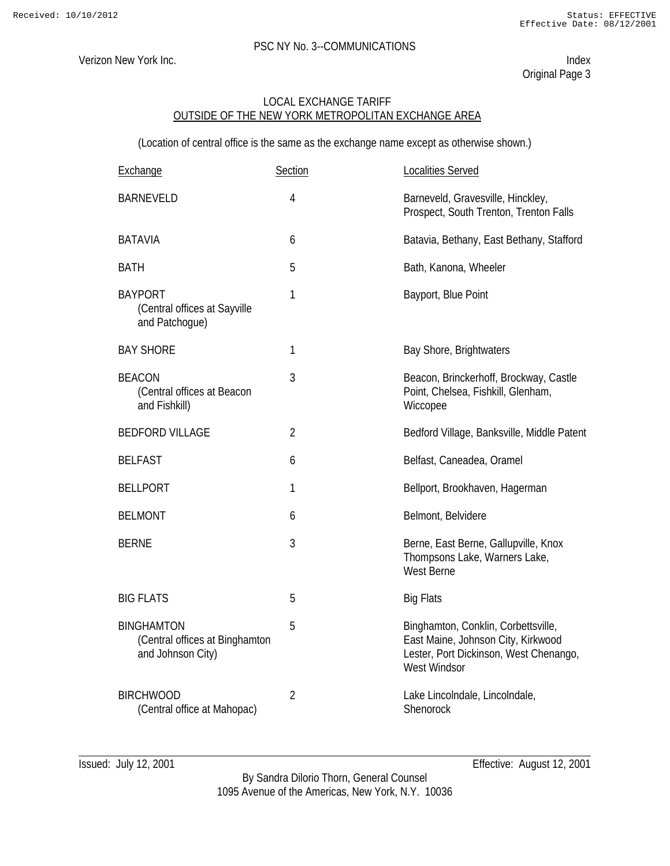Verizon New York Inc. **Index** 

Original Page 3

#### LOCAL EXCHANGE TARIFF OUTSIDE OF THE NEW YORK METROPOLITAN EXCHANGE AREA

(Location of central office is the same as the exchange name except as otherwise shown.)

| Exchange                                                                 | <b>Section</b> | <b>Localities Served</b>                                                                                                            |
|--------------------------------------------------------------------------|----------------|-------------------------------------------------------------------------------------------------------------------------------------|
| <b>BARNEVELD</b>                                                         | $\overline{4}$ | Barneveld, Gravesville, Hinckley,<br>Prospect, South Trenton, Trenton Falls                                                         |
| <b>BATAVIA</b>                                                           | 6              | Batavia, Bethany, East Bethany, Stafford                                                                                            |
| <b>BATH</b>                                                              | 5              | Bath, Kanona, Wheeler                                                                                                               |
| <b>BAYPORT</b><br>(Central offices at Sayville<br>and Patchogue)         | 1              | Bayport, Blue Point                                                                                                                 |
| <b>BAY SHORE</b>                                                         | 1              | Bay Shore, Brightwaters                                                                                                             |
| <b>BEACON</b><br>(Central offices at Beacon<br>and Fishkill)             | 3              | Beacon, Brinckerhoff, Brockway, Castle<br>Point, Chelsea, Fishkill, Glenham,<br>Wiccopee                                            |
| <b>BEDFORD VILLAGE</b>                                                   | $\overline{2}$ | Bedford Village, Banksville, Middle Patent                                                                                          |
| <b>BELFAST</b>                                                           | 6              | Belfast, Caneadea, Oramel                                                                                                           |
| <b>BELLPORT</b>                                                          | 1              | Bellport, Brookhaven, Hagerman                                                                                                      |
| <b>BELMONT</b>                                                           | 6              | Belmont, Belvidere                                                                                                                  |
| <b>BERNE</b>                                                             | 3              | Berne, East Berne, Gallupville, Knox<br>Thompsons Lake, Warners Lake,<br><b>West Berne</b>                                          |
| <b>BIG FLATS</b>                                                         | 5              | <b>Big Flats</b>                                                                                                                    |
| <b>BINGHAMTON</b><br>(Central offices at Binghamton<br>and Johnson City) | 5              | Binghamton, Conklin, Corbettsville,<br>East Maine, Johnson City, Kirkwood<br>Lester, Port Dickinson, West Chenango,<br>West Windsor |
| <b>BIRCHWOOD</b><br>(Central office at Mahopac)                          | 2              | Lake Lincolndale, Lincolndale,<br>Shenorock                                                                                         |

Issued: July 12, 2001 Effective: August 12, 2001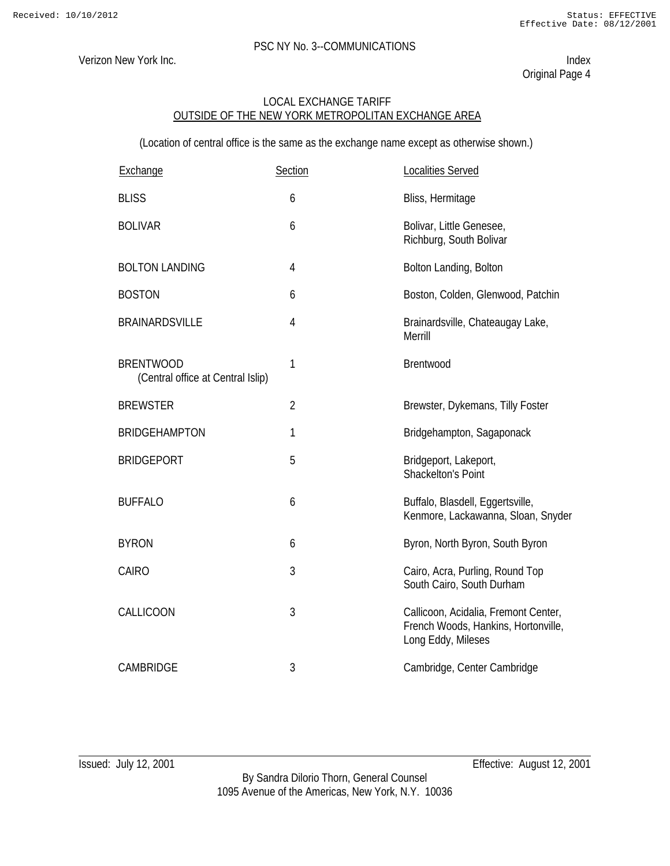# Verizon New York Inc. **Index** Original Page 4

# LOCAL EXCHANGE TARIFF OUTSIDE OF THE NEW YORK METROPOLITAN EXCHANGE AREA

| Exchange                                              | <b>Section</b> | <b>Localities Served</b>                                                                          |
|-------------------------------------------------------|----------------|---------------------------------------------------------------------------------------------------|
| <b>BLISS</b>                                          | 6              | Bliss, Hermitage                                                                                  |
| <b>BOLIVAR</b>                                        | 6              | Bolivar, Little Genesee,<br>Richburg, South Bolivar                                               |
| <b>BOLTON LANDING</b>                                 | $\overline{4}$ | Bolton Landing, Bolton                                                                            |
| <b>BOSTON</b>                                         | 6              | Boston, Colden, Glenwood, Patchin                                                                 |
| <b>BRAINARDSVILLE</b>                                 | $\overline{4}$ | Brainardsville, Chateaugay Lake,<br>Merrill                                                       |
| <b>BRENTWOOD</b><br>(Central office at Central Islip) | 1              | Brentwood                                                                                         |
| <b>BREWSTER</b>                                       | $\overline{2}$ | Brewster, Dykemans, Tilly Foster                                                                  |
| <b>BRIDGEHAMPTON</b>                                  | 1              | Bridgehampton, Sagaponack                                                                         |
| <b>BRIDGEPORT</b>                                     | 5              | Bridgeport, Lakeport,<br><b>Shackelton's Point</b>                                                |
| <b>BUFFALO</b>                                        | 6              | Buffalo, Blasdell, Eggertsville,<br>Kenmore, Lackawanna, Sloan, Snyder                            |
| <b>BYRON</b>                                          | 6              | Byron, North Byron, South Byron                                                                   |
| CAIRO                                                 | 3              | Cairo, Acra, Purling, Round Top<br>South Cairo, South Durham                                      |
| CALLICOON                                             | 3              | Callicoon, Acidalia, Fremont Center,<br>French Woods, Hankins, Hortonville,<br>Long Eddy, Mileses |
| CAMBRIDGE                                             | 3              | Cambridge, Center Cambridge                                                                       |
|                                                       |                |                                                                                                   |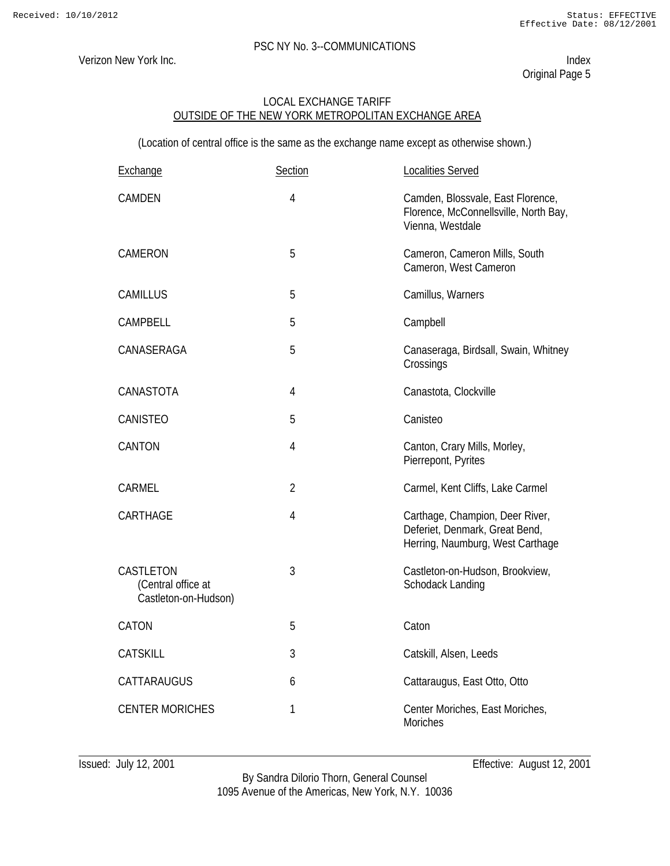Verizon New York Inc. **Index** 

Original Page 5

#### LOCAL EXCHANGE TARIFF OUTSIDE OF THE NEW YORK METROPOLITAN EXCHANGE AREA

(Location of central office is the same as the exchange name except as otherwise shown.)

| Exchange                                                | <b>Section</b> | <b>Localities Served</b>                                                                              |
|---------------------------------------------------------|----------------|-------------------------------------------------------------------------------------------------------|
| CAMDEN                                                  | $\overline{4}$ | Camden, Blossvale, East Florence,<br>Florence, McConnellsville, North Bay,<br>Vienna, Westdale        |
| CAMERON                                                 | 5              | Cameron, Cameron Mills, South<br>Cameron, West Cameron                                                |
| CAMILLUS                                                | 5              | Camillus, Warners                                                                                     |
| CAMPBELL                                                | 5              | Campbell                                                                                              |
| CANASERAGA                                              | 5              | Canaseraga, Birdsall, Swain, Whitney<br>Crossings                                                     |
| CANASTOTA                                               | 4              | Canastota, Clockville                                                                                 |
| CANISTEO                                                | 5              | Canisteo                                                                                              |
| CANTON                                                  | $\overline{4}$ | Canton, Crary Mills, Morley,<br>Pierrepont, Pyrites                                                   |
| CARMEL                                                  | $\overline{2}$ | Carmel, Kent Cliffs, Lake Carmel                                                                      |
| CARTHAGE                                                | 4              | Carthage, Champion, Deer River,<br>Deferiet, Denmark, Great Bend,<br>Herring, Naumburg, West Carthage |
| CASTLETON<br>(Central office at<br>Castleton-on-Hudson) | 3              | Castleton-on-Hudson, Brookview,<br>Schodack Landing                                                   |
| CATON                                                   | 5              | Caton                                                                                                 |
| <b>CATSKILL</b>                                         | 3              | Catskill, Alsen, Leeds                                                                                |
| CATTARAUGUS                                             | 6              | Cattaraugus, East Otto, Otto                                                                          |
| <b>CENTER MORICHES</b>                                  | 1              | Center Moriches, East Moriches,<br>Moriches                                                           |

Issued: July 12, 2001 Effective: August 12, 2001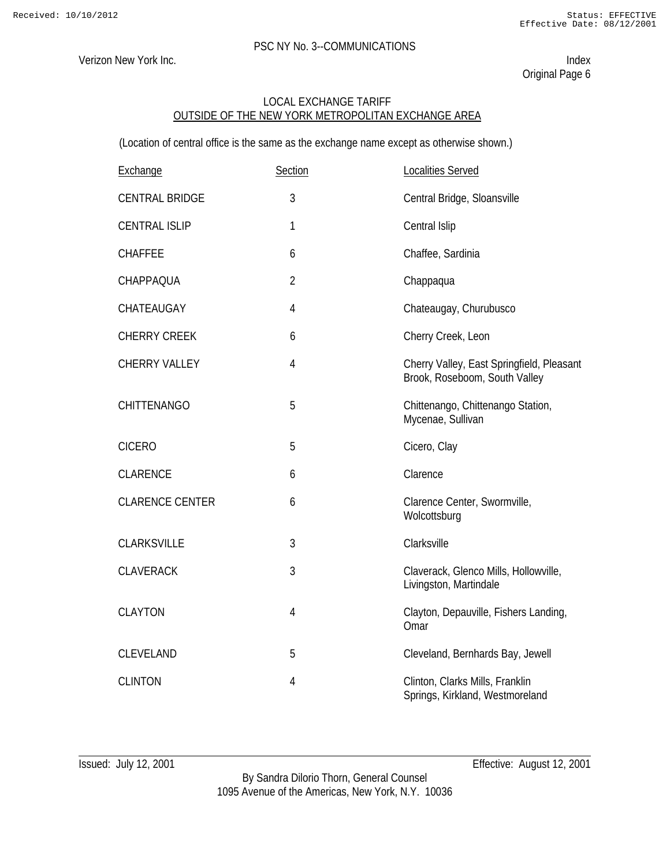Verizon New York Inc. **Index** 

Original Page 6

#### LOCAL EXCHANGE TARIFF OUTSIDE OF THE NEW YORK METROPOLITAN EXCHANGE AREA

| Exchange               | <b>Section</b> | <b>Localities Served</b>                                                   |
|------------------------|----------------|----------------------------------------------------------------------------|
| <b>CENTRAL BRIDGE</b>  | $\overline{3}$ | Central Bridge, Sloansville                                                |
| <b>CENTRAL ISLIP</b>   | 1              | Central Islip                                                              |
| <b>CHAFFEE</b>         | 6              | Chaffee, Sardinia                                                          |
| CHAPPAQUA              | $\overline{2}$ | Chappaqua                                                                  |
| CHATEAUGAY             | $\overline{4}$ | Chateaugay, Churubusco                                                     |
| <b>CHERRY CREEK</b>    | 6              | Cherry Creek, Leon                                                         |
| CHERRY VALLEY          | $\overline{4}$ | Cherry Valley, East Springfield, Pleasant<br>Brook, Roseboom, South Valley |
| CHITTENANGO            | 5              | Chittenango, Chittenango Station,<br>Mycenae, Sullivan                     |
| <b>CICERO</b>          | 5              | Cicero, Clay                                                               |
| CLARENCE               | 6              | Clarence                                                                   |
| <b>CLARENCE CENTER</b> | 6              | Clarence Center, Swormville,<br>Wolcottsburg                               |
| <b>CLARKSVILLE</b>     | 3              | Clarksville                                                                |
| <b>CLAVERACK</b>       | 3              | Claverack, Glenco Mills, Hollowville,<br>Livingston, Martindale            |
| <b>CLAYTON</b>         | 4              | Clayton, Depauville, Fishers Landing,<br>Omar                              |
| CLEVELAND              | 5              | Cleveland, Bernhards Bay, Jewell                                           |
| <b>CLINTON</b>         | $\overline{4}$ | Clinton, Clarks Mills, Franklin<br>Springs, Kirkland, Westmoreland         |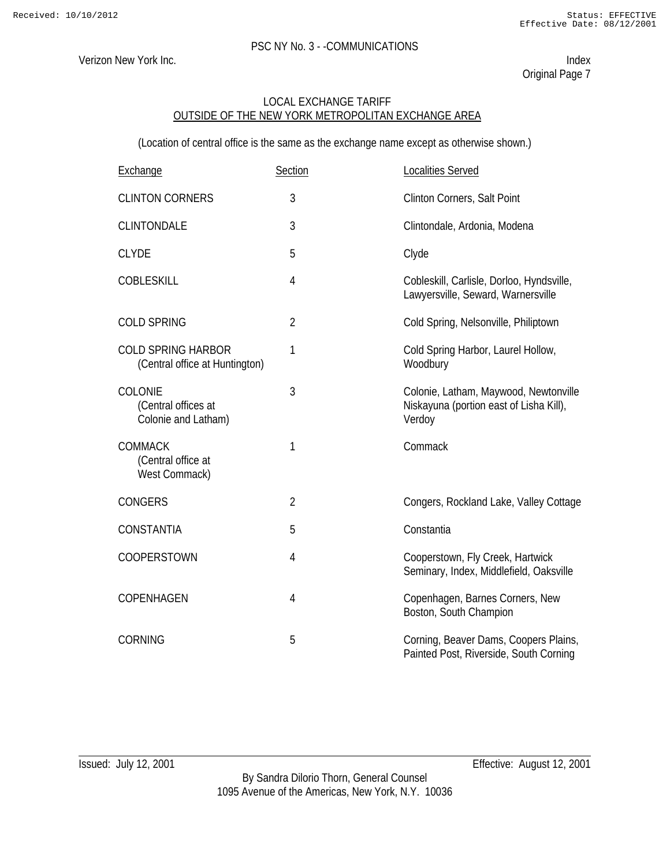# Verizon New York Inc. **Index** Original Page 7

# LOCAL EXCHANGE TARIFF OUTSIDE OF THE NEW YORK METROPOLITAN EXCHANGE AREA

| Exchange                                                    | Section        | Localities Served                                                                          |
|-------------------------------------------------------------|----------------|--------------------------------------------------------------------------------------------|
| <b>CLINTON CORNERS</b>                                      | 3              | Clinton Corners, Salt Point                                                                |
| CLINTONDALE                                                 | 3              | Clintondale, Ardonia, Modena                                                               |
| <b>CLYDE</b>                                                | 5              | Clyde                                                                                      |
| COBLESKILL                                                  | $\overline{4}$ | Cobleskill, Carlisle, Dorloo, Hyndsville,<br>Lawyersville, Seward, Warnersville            |
| <b>COLD SPRING</b>                                          | $\overline{2}$ | Cold Spring, Nelsonville, Philiptown                                                       |
| <b>COLD SPRING HARBOR</b><br>(Central office at Huntington) | 1              | Cold Spring Harbor, Laurel Hollow,<br>Woodbury                                             |
| COLONIE<br>(Central offices at<br>Colonie and Latham)       | $\mathfrak{Z}$ | Colonie, Latham, Maywood, Newtonville<br>Niskayuna (portion east of Lisha Kill),<br>Verdoy |
| <b>COMMACK</b><br>(Central office at<br>West Commack)       | 1              | Commack                                                                                    |
| <b>CONGERS</b>                                              | $\overline{2}$ | Congers, Rockland Lake, Valley Cottage                                                     |
| CONSTANTIA                                                  | 5              | Constantia                                                                                 |
| COOPERSTOWN                                                 | $\overline{4}$ | Cooperstown, Fly Creek, Hartwick<br>Seminary, Index, Middlefield, Oaksville                |
| COPENHAGEN                                                  | 4              | Copenhagen, Barnes Corners, New<br>Boston, South Champion                                  |
| <b>CORNING</b>                                              | 5              | Corning, Beaver Dams, Coopers Plains,<br>Painted Post, Riverside, South Corning            |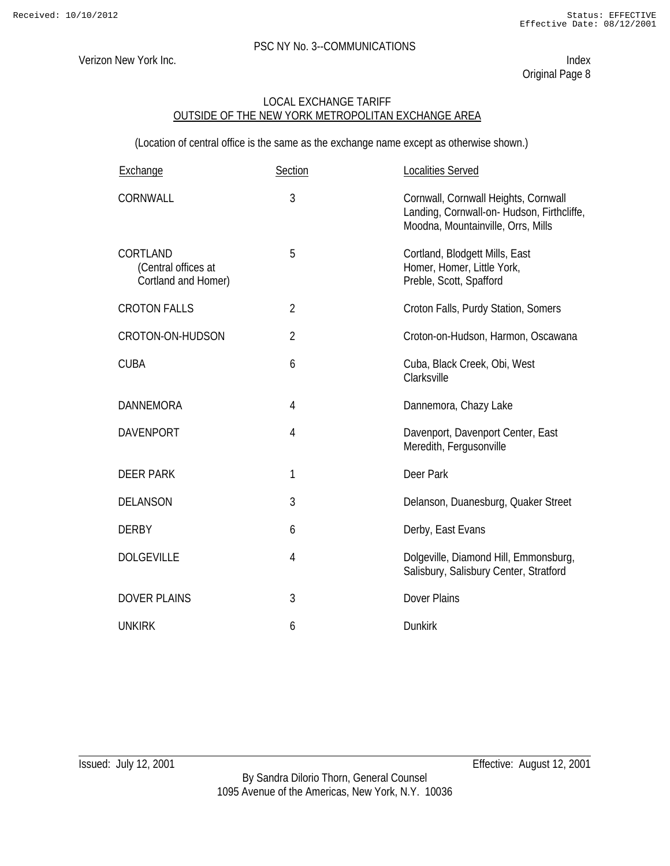Verizon New York Inc. **Index** 

Original Page 8

#### LOCAL EXCHANGE TARIFF OUTSIDE OF THE NEW YORK METROPOLITAN EXCHANGE AREA

| Exchange                                               | Section        | <b>Localities Served</b>                                                                                                 |
|--------------------------------------------------------|----------------|--------------------------------------------------------------------------------------------------------------------------|
| CORNWALL                                               | $\mathfrak{Z}$ | Cornwall, Cornwall Heights, Cornwall<br>Landing, Cornwall-on- Hudson, Firthcliffe,<br>Moodna, Mountainville, Orrs, Mills |
| CORTLAND<br>(Central offices at<br>Cortland and Homer) | 5              | Cortland, Blodgett Mills, East<br>Homer, Homer, Little York,<br>Preble, Scott, Spafford                                  |
| <b>CROTON FALLS</b>                                    | $\overline{2}$ | Croton Falls, Purdy Station, Somers                                                                                      |
| CROTON-ON-HUDSON                                       | $\overline{2}$ | Croton-on-Hudson, Harmon, Oscawana                                                                                       |
| <b>CUBA</b>                                            | 6              | Cuba, Black Creek, Obi, West<br>Clarksville                                                                              |
| <b>DANNEMORA</b>                                       | $\overline{4}$ | Dannemora, Chazy Lake                                                                                                    |
| <b>DAVENPORT</b>                                       | 4              | Davenport, Davenport Center, East<br>Meredith, Fergusonville                                                             |
| <b>DEER PARK</b>                                       | 1              | Deer Park                                                                                                                |
| <b>DELANSON</b>                                        | 3              | Delanson, Duanesburg, Quaker Street                                                                                      |
| <b>DERBY</b>                                           | 6              | Derby, East Evans                                                                                                        |
| <b>DOLGEVILLE</b>                                      | 4              | Dolgeville, Diamond Hill, Emmonsburg,<br>Salisbury, Salisbury Center, Stratford                                          |
| <b>DOVER PLAINS</b>                                    | $\mathfrak{Z}$ | <b>Dover Plains</b>                                                                                                      |
| <b>UNKIRK</b>                                          | 6              | <b>Dunkirk</b>                                                                                                           |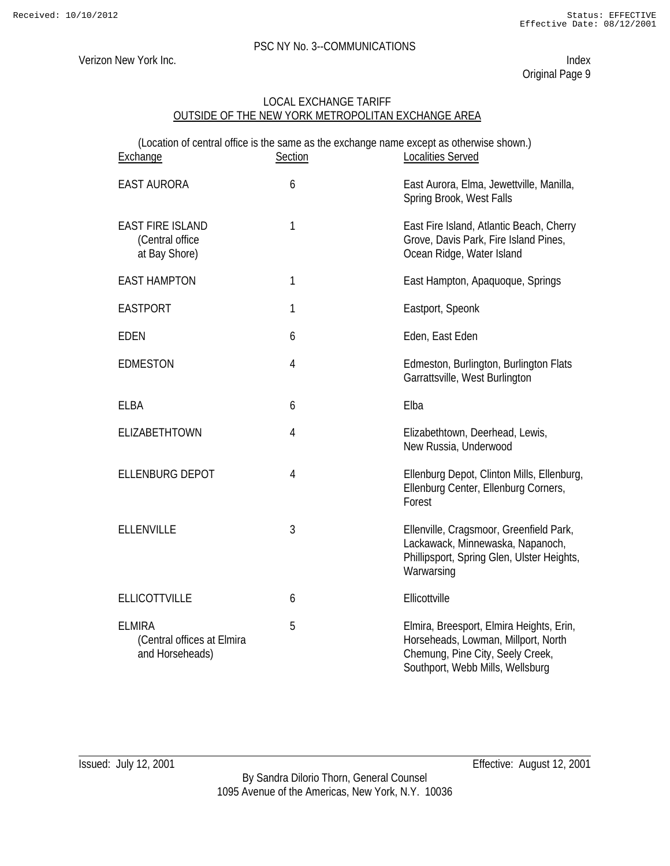# Verizon New York Inc. **Index**

# Original Page 9

#### LOCAL EXCHANGE TARIFF OUTSIDE OF THE NEW YORK METROPOLITAN EXCHANGE AREA

| <b>Exchange</b>                                                | <b>Section</b> | (Location of central office is the same as the exchange name except as otherwise shown.)<br><b>Localities Served</b>                                    |
|----------------------------------------------------------------|----------------|---------------------------------------------------------------------------------------------------------------------------------------------------------|
| <b>EAST AURORA</b>                                             | 6              | East Aurora, Elma, Jewettville, Manilla,<br>Spring Brook, West Falls                                                                                    |
| <b>EAST FIRE ISLAND</b><br>(Central office<br>at Bay Shore)    | 1              | East Fire Island, Atlantic Beach, Cherry<br>Grove, Davis Park, Fire Island Pines,<br>Ocean Ridge, Water Island                                          |
| <b>EAST HAMPTON</b>                                            | 1              | East Hampton, Apaquoque, Springs                                                                                                                        |
| <b>EASTPORT</b>                                                | 1              | Eastport, Speonk                                                                                                                                        |
| <b>EDEN</b>                                                    | 6              | Eden, East Eden                                                                                                                                         |
| <b>EDMESTON</b>                                                | 4              | Edmeston, Burlington, Burlington Flats<br>Garrattsville, West Burlington                                                                                |
| <b>ELBA</b>                                                    | 6              | Elba                                                                                                                                                    |
| ELIZABETHTOWN                                                  | $\overline{4}$ | Elizabethtown, Deerhead, Lewis,<br>New Russia, Underwood                                                                                                |
| <b>ELLENBURG DEPOT</b>                                         | 4              | Ellenburg Depot, Clinton Mills, Ellenburg,<br>Ellenburg Center, Ellenburg Corners,<br>Forest                                                            |
| <b>ELLENVILLE</b>                                              | 3              | Ellenville, Cragsmoor, Greenfield Park,<br>Lackawack, Minnewaska, Napanoch,<br>Phillipsport, Spring Glen, Ulster Heights,<br>Warwarsing                 |
| <b>ELLICOTTVILLE</b>                                           | 6              | Ellicottville                                                                                                                                           |
| <b>ELMIRA</b><br>(Central offices at Elmira<br>and Horseheads) | 5              | Elmira, Breesport, Elmira Heights, Erin,<br>Horseheads, Lowman, Millport, North<br>Chemung, Pine City, Seely Creek,<br>Southport, Webb Mills, Wellsburg |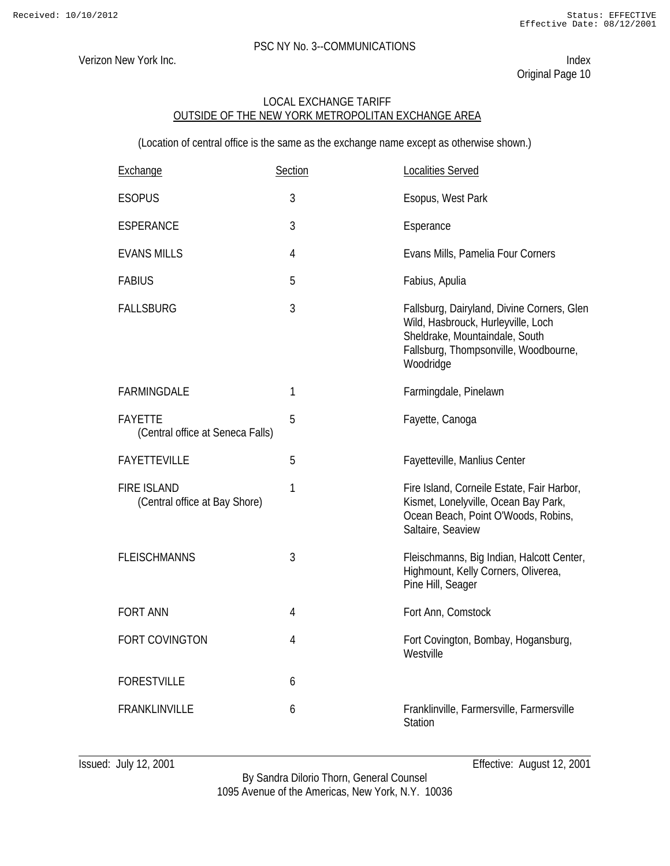#### Verizon New York Inc. **Index** Original Page 10

#### LOCAL EXCHANGE TARIFF OUTSIDE OF THE NEW YORK METROPOLITAN EXCHANGE AREA

(Location of central office is the same as the exchange name except as otherwise shown.)

| Exchange                                            | <b>Section</b> | <b>Localities Served</b>                                                                                                                                                 |
|-----------------------------------------------------|----------------|--------------------------------------------------------------------------------------------------------------------------------------------------------------------------|
| <b>ESOPUS</b>                                       | 3              | Esopus, West Park                                                                                                                                                        |
| <b>ESPERANCE</b>                                    | 3              | Esperance                                                                                                                                                                |
| <b>EVANS MILLS</b>                                  | $\overline{4}$ | Evans Mills, Pamelia Four Corners                                                                                                                                        |
| <b>FABIUS</b>                                       | 5              | Fabius, Apulia                                                                                                                                                           |
| <b>FALLSBURG</b>                                    | $\mathfrak{Z}$ | Fallsburg, Dairyland, Divine Corners, Glen<br>Wild, Hasbrouck, Hurleyville, Loch<br>Sheldrake, Mountaindale, South<br>Fallsburg, Thompsonville, Woodbourne,<br>Woodridge |
| <b>FARMINGDALE</b>                                  | 1              | Farmingdale, Pinelawn                                                                                                                                                    |
| <b>FAYETTE</b><br>(Central office at Seneca Falls)  | 5              | Fayette, Canoga                                                                                                                                                          |
| <b>FAYETTEVILLE</b>                                 | 5              | Fayetteville, Manlius Center                                                                                                                                             |
| <b>FIRE ISLAND</b><br>(Central office at Bay Shore) | 1              | Fire Island, Corneile Estate, Fair Harbor,<br>Kismet, Lonelyville, Ocean Bay Park,<br>Ocean Beach, Point O'Woods, Robins,<br>Saltaire, Seaview                           |
| <b>FLEISCHMANNS</b>                                 | 3              | Fleischmanns, Big Indian, Halcott Center,<br>Highmount, Kelly Corners, Oliverea,<br>Pine Hill, Seager                                                                    |
| <b>FORT ANN</b>                                     | $\overline{4}$ | Fort Ann, Comstock                                                                                                                                                       |
| FORT COVINGTON                                      | 4              | Fort Covington, Bombay, Hogansburg,<br>Westville                                                                                                                         |
| <b>FORESTVILLE</b>                                  | 6              |                                                                                                                                                                          |
| FRANKLINVILLE                                       | 6              | Franklinville, Farmersville, Farmersville<br>Station                                                                                                                     |

Issued: July 12, 2001 Effective: August 12, 2001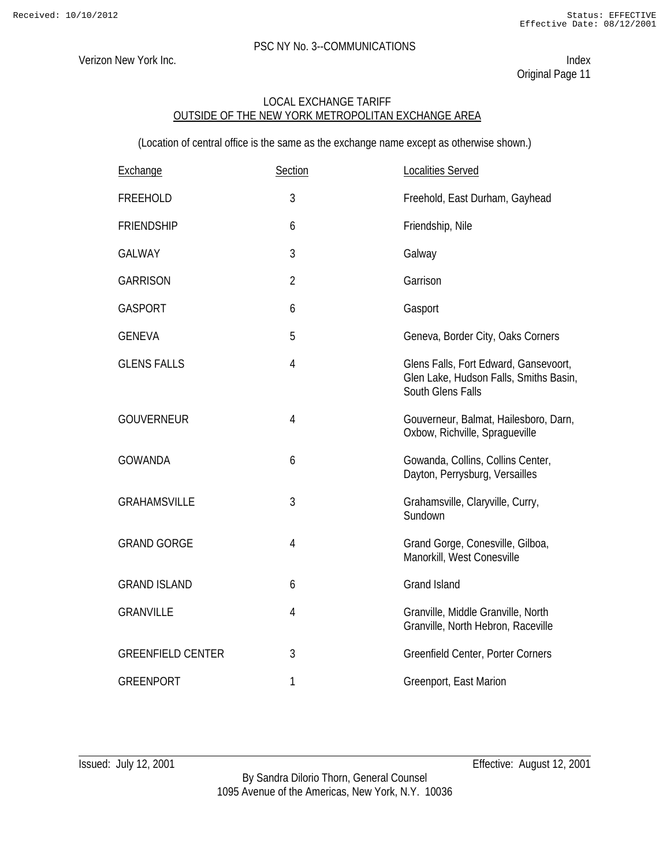Verizon New York Inc. **Index** 

Original Page 11

### LOCAL EXCHANGE TARIFF OUTSIDE OF THE NEW YORK METROPOLITAN EXCHANGE AREA

| Exchange                 | <b>Section</b> | <b>Localities Served</b>                                                                             |
|--------------------------|----------------|------------------------------------------------------------------------------------------------------|
| <b>FREEHOLD</b>          | 3              | Freehold, East Durham, Gayhead                                                                       |
| <b>FRIENDSHIP</b>        | 6              | Friendship, Nile                                                                                     |
| <b>GALWAY</b>            | 3              | Galway                                                                                               |
| <b>GARRISON</b>          | $\overline{2}$ | Garrison                                                                                             |
| <b>GASPORT</b>           | 6              | Gasport                                                                                              |
| <b>GENEVA</b>            | 5              | Geneva, Border City, Oaks Corners                                                                    |
| <b>GLENS FALLS</b>       | $\overline{4}$ | Glens Falls, Fort Edward, Gansevoort,<br>Glen Lake, Hudson Falls, Smiths Basin,<br>South Glens Falls |
| <b>GOUVERNEUR</b>        | $\overline{4}$ | Gouverneur, Balmat, Hailesboro, Darn,<br>Oxbow, Richville, Spragueville                              |
| <b>GOWANDA</b>           | 6              | Gowanda, Collins, Collins Center,<br>Dayton, Perrysburg, Versailles                                  |
| <b>GRAHAMSVILLE</b>      | 3              | Grahamsville, Claryville, Curry,<br>Sundown                                                          |
| <b>GRAND GORGE</b>       | $\overline{4}$ | Grand Gorge, Conesville, Gilboa,<br>Manorkill, West Conesville                                       |
| <b>GRAND ISLAND</b>      | 6              | <b>Grand Island</b>                                                                                  |
| <b>GRANVILLE</b>         | $\overline{4}$ | Granville, Middle Granville, North<br>Granville, North Hebron, Raceville                             |
| <b>GREENFIELD CENTER</b> | 3              | Greenfield Center, Porter Corners                                                                    |
| <b>GREENPORT</b>         | 1              | Greenport, East Marion                                                                               |
|                          |                |                                                                                                      |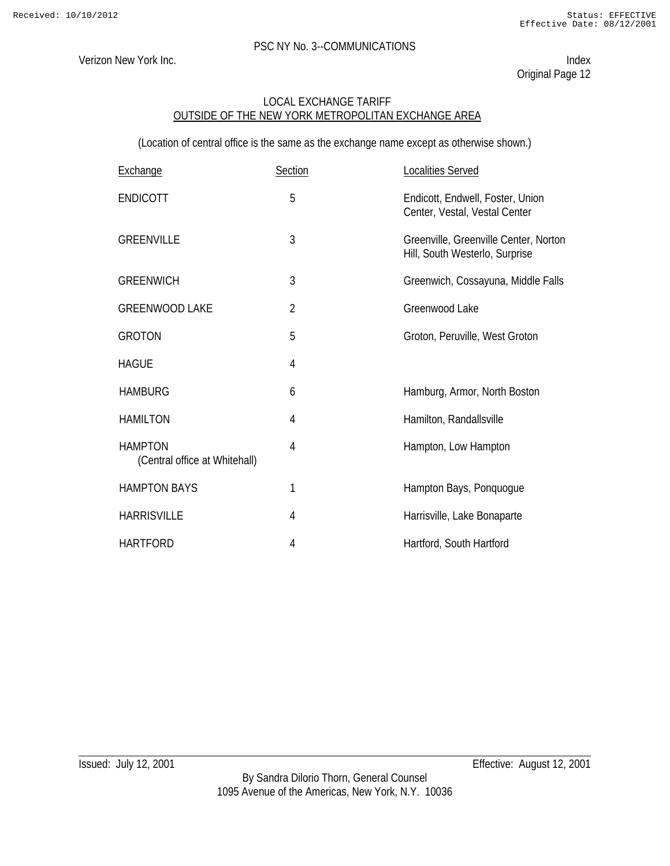Verizon New York Inc. **Index** 

Original Page 12

#### LOCAL EXCHANGE TARIFF OUTSIDE OF THE NEW YORK METROPOLITAN EXCHANGE AREA

| <b>Exchange</b>                                 | <b>Section</b> | <b>Localities Served</b>                                                |
|-------------------------------------------------|----------------|-------------------------------------------------------------------------|
| <b>ENDICOTT</b>                                 | 5              | Endicott, Endwell, Foster, Union<br>Center, Vestal, Vestal Center       |
| <b>GREENVILLE</b>                               | 3              | Greenville, Greenville Center, Norton<br>Hill, South Westerlo, Surprise |
| <b>GREENWICH</b>                                | 3              | Greenwich, Cossayuna, Middle Falls                                      |
| <b>GREENWOOD LAKE</b>                           | $\overline{2}$ | Greenwood Lake                                                          |
| <b>GROTON</b>                                   | 5              | Groton, Peruville, West Groton                                          |
| <b>HAGUE</b>                                    | 4              |                                                                         |
| <b>HAMBURG</b>                                  | 6              | Hamburg, Armor, North Boston                                            |
| <b>HAMILTON</b>                                 | 4              | Hamilton, Randallsville                                                 |
| <b>HAMPTON</b><br>(Central office at Whitehall) | 4              | Hampton, Low Hampton                                                    |
| <b>HAMPTON BAYS</b>                             | 1              | Hampton Bays, Ponquogue                                                 |
| <b>HARRISVILLE</b>                              | 4              | Harrisville, Lake Bonaparte                                             |
| <b>HARTFORD</b>                                 | 4              | Hartford, South Hartford                                                |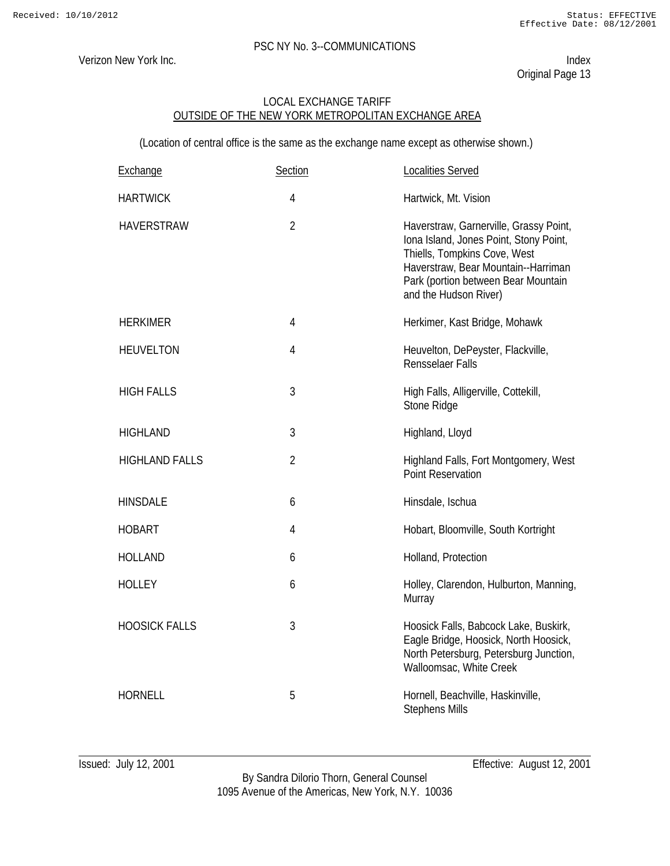Verizon New York Inc. **Index** 

Original Page 13

### LOCAL EXCHANGE TARIFF OUTSIDE OF THE NEW YORK METROPOLITAN EXCHANGE AREA

(Location of central office is the same as the exchange name except as otherwise shown.)

| Exchange        |                       | <b>Section</b> | <b>Localities Served</b>                                                                                                                                                                                                |
|-----------------|-----------------------|----------------|-------------------------------------------------------------------------------------------------------------------------------------------------------------------------------------------------------------------------|
| <b>HARTWICK</b> |                       | 4              | Hartwick, Mt. Vision                                                                                                                                                                                                    |
|                 | <b>HAVERSTRAW</b>     | $\overline{2}$ | Haverstraw, Garnerville, Grassy Point,<br>Iona Island, Jones Point, Stony Point,<br>Thiells, Tompkins Cove, West<br>Haverstraw, Bear Mountain--Harriman<br>Park (portion between Bear Mountain<br>and the Hudson River) |
| <b>HERKIMER</b> |                       | 4              | Herkimer, Kast Bridge, Mohawk                                                                                                                                                                                           |
|                 | <b>HEUVELTON</b>      | 4              | Heuvelton, DePeyster, Flackville,<br>Rensselaer Falls                                                                                                                                                                   |
|                 | <b>HIGH FALLS</b>     | 3              | High Falls, Alligerville, Cottekill,<br>Stone Ridge                                                                                                                                                                     |
| <b>HIGHLAND</b> |                       | 3              | Highland, Lloyd                                                                                                                                                                                                         |
|                 | <b>HIGHLAND FALLS</b> | $\overline{2}$ | Highland Falls, Fort Montgomery, West<br><b>Point Reservation</b>                                                                                                                                                       |
| <b>HINSDALE</b> |                       | 6              | Hinsdale, Ischua                                                                                                                                                                                                        |
| <b>HOBART</b>   |                       | 4              | Hobart, Bloomville, South Kortright                                                                                                                                                                                     |
| <b>HOLLAND</b>  |                       | 6              | Holland, Protection                                                                                                                                                                                                     |
| <b>HOLLEY</b>   |                       | 6              | Holley, Clarendon, Hulburton, Manning,<br>Murray                                                                                                                                                                        |
|                 | <b>HOOSICK FALLS</b>  | 3              | Hoosick Falls, Babcock Lake, Buskirk,<br>Eagle Bridge, Hoosick, North Hoosick,<br>North Petersburg, Petersburg Junction,<br>Walloomsac, White Creek                                                                     |
| <b>HORNELL</b>  |                       | 5              | Hornell, Beachville, Haskinville,<br><b>Stephens Mills</b>                                                                                                                                                              |

Issued: July 12, 2001 Effective: August 12, 2001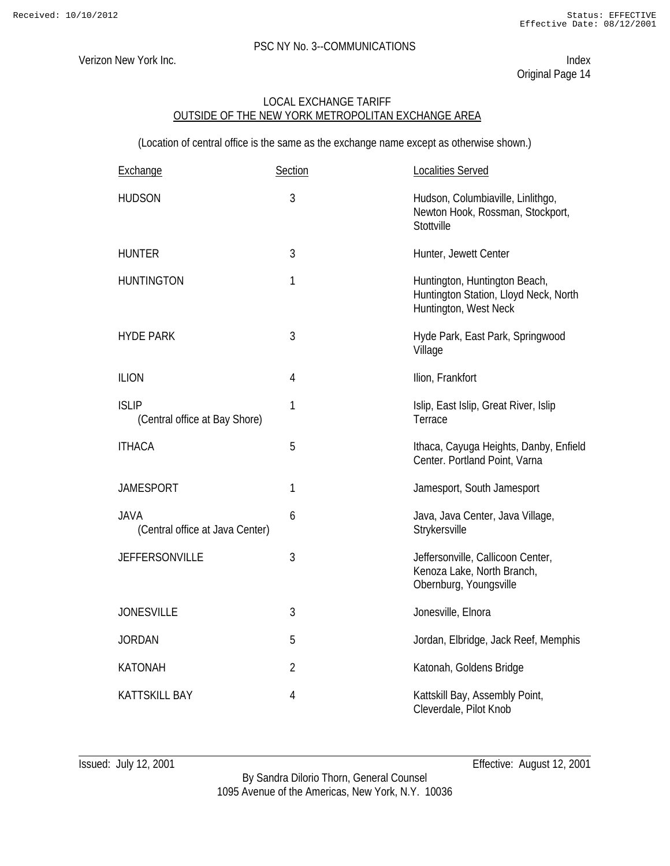Verizon New York Inc. **Index** 

Original Page 14

#### LOCAL EXCHANGE TARIFF OUTSIDE OF THE NEW YORK METROPOLITAN EXCHANGE AREA

(Location of central office is the same as the exchange name except as otherwise shown.)

| Exchange                                       | <b>Section</b> | <b>Localities Served</b>                                                                        |
|------------------------------------------------|----------------|-------------------------------------------------------------------------------------------------|
| <b>HUDSON</b>                                  | 3              | Hudson, Columbiaville, Linlithgo,<br>Newton Hook, Rossman, Stockport,<br>Stottville             |
| <b>HUNTER</b>                                  | 3              | Hunter, Jewett Center                                                                           |
| <b>HUNTINGTON</b>                              | 1              | Huntington, Huntington Beach,<br>Huntington Station, Lloyd Neck, North<br>Huntington, West Neck |
| <b>HYDE PARK</b>                               | 3              | Hyde Park, East Park, Springwood<br>Village                                                     |
| <b>ILION</b>                                   | 4              | Ilion, Frankfort                                                                                |
| <b>ISLIP</b><br>(Central office at Bay Shore)  | 1              | Islip, East Islip, Great River, Islip<br>Terrace                                                |
| <b>ITHACA</b>                                  | 5              | Ithaca, Cayuga Heights, Danby, Enfield<br>Center. Portland Point, Varna                         |
| <b>JAMESPORT</b>                               | 1              | Jamesport, South Jamesport                                                                      |
| <b>JAVA</b><br>(Central office at Java Center) | 6              | Java, Java Center, Java Village,<br>Strykersville                                               |
| <b>JEFFERSONVILLE</b>                          | 3              | Jeffersonville, Callicoon Center,<br>Kenoza Lake, North Branch,<br>Obernburg, Youngsville       |
| <b>JONESVILLE</b>                              | 3              | Jonesville, Elnora                                                                              |
| <b>JORDAN</b>                                  | 5              | Jordan, Elbridge, Jack Reef, Memphis                                                            |
| <b>KATONAH</b>                                 | $\overline{2}$ | Katonah, Goldens Bridge                                                                         |
| <b>KATTSKILL BAY</b>                           | 4              | Kattskill Bay, Assembly Point,<br>Cleverdale, Pilot Knob                                        |

Issued: July 12, 2001 Effective: August 12, 2001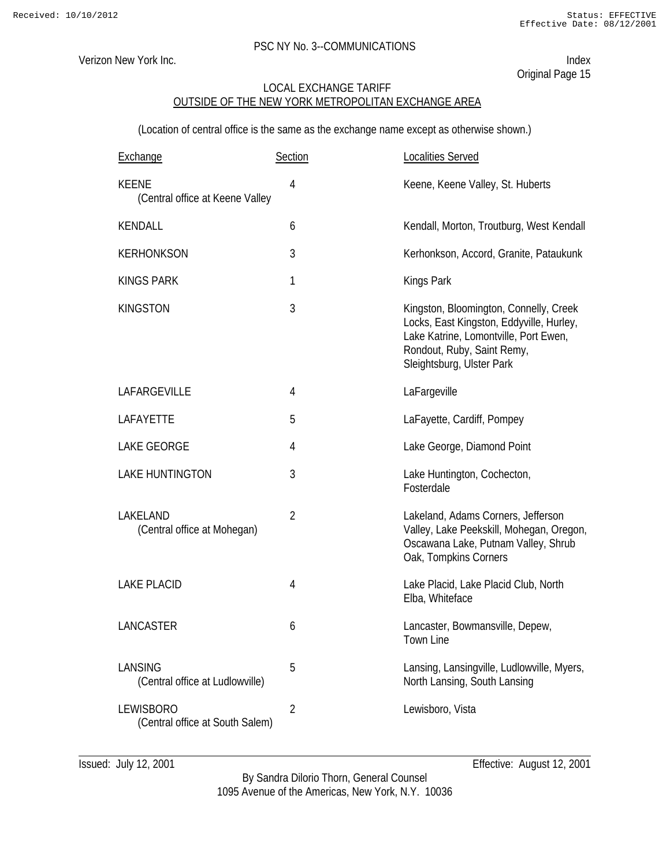Verizon New York Inc. **Index** 

Original Page 15

#### LOCAL EXCHANGE TARIFF OUTSIDE OF THE NEW YORK METROPOLITAN EXCHANGE AREA

(Location of central office is the same as the exchange name except as otherwise shown.)

| Exchange                                            | Section        | <b>Localities Served</b>                                                                                                                                                               |
|-----------------------------------------------------|----------------|----------------------------------------------------------------------------------------------------------------------------------------------------------------------------------------|
| <b>KEENE</b><br>(Central office at Keene Valley     | 4              | Keene, Keene Valley, St. Huberts                                                                                                                                                       |
| <b>KENDALL</b>                                      | 6              | Kendall, Morton, Troutburg, West Kendall                                                                                                                                               |
| <b>KERHONKSON</b>                                   | 3              | Kerhonkson, Accord, Granite, Pataukunk                                                                                                                                                 |
| <b>KINGS PARK</b>                                   | 1              | Kings Park                                                                                                                                                                             |
| <b>KINGSTON</b>                                     | 3              | Kingston, Bloomington, Connelly, Creek<br>Locks, East Kingston, Eddyville, Hurley,<br>Lake Katrine, Lomontville, Port Ewen,<br>Rondout, Ruby, Saint Remy,<br>Sleightsburg, Ulster Park |
| LAFARGEVILLE                                        | 4              | LaFargeville                                                                                                                                                                           |
| LAFAYETTE                                           | 5              | LaFayette, Cardiff, Pompey                                                                                                                                                             |
| <b>LAKE GEORGE</b>                                  | 4              | Lake George, Diamond Point                                                                                                                                                             |
| <b>LAKE HUNTINGTON</b>                              | 3              | Lake Huntington, Cochecton,<br>Fosterdale                                                                                                                                              |
| LAKELAND<br>(Central office at Mohegan)             | 2              | Lakeland, Adams Corners, Jefferson<br>Valley, Lake Peekskill, Mohegan, Oregon,<br>Oscawana Lake, Putnam Valley, Shrub<br>Oak, Tompkins Corners                                         |
| <b>LAKE PLACID</b>                                  | 4              | Lake Placid, Lake Placid Club, North<br>Elba, Whiteface                                                                                                                                |
| LANCASTER                                           | 6              | Lancaster, Bowmansville, Depew,<br>Town Line                                                                                                                                           |
| <b>LANSING</b><br>(Central office at Ludlowville)   | 5              | Lansing, Lansingville, Ludlowville, Myers,<br>North Lansing, South Lansing                                                                                                             |
| <b>LEWISBORO</b><br>(Central office at South Salem) | $\overline{2}$ | Lewisboro, Vista                                                                                                                                                                       |

Issued: July 12, 2001 Effective: August 12, 2001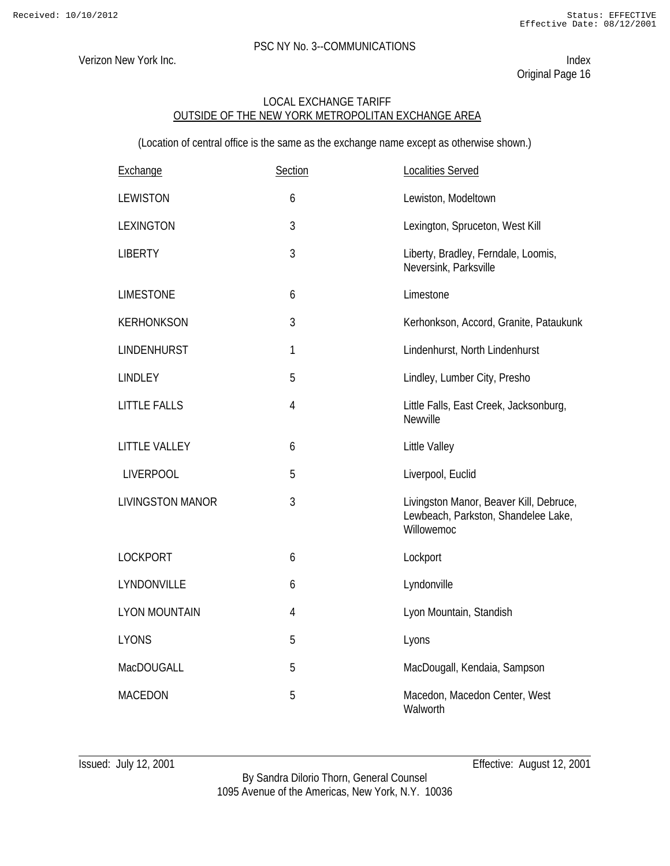#### Verizon New York Inc. **Index** Original Page 16

#### LOCAL EXCHANGE TARIFF OUTSIDE OF THE NEW YORK METROPOLITAN EXCHANGE AREA

(Location of central office is the same as the exchange name except as otherwise shown.)

| Exchange                | <b>Section</b> | <b>Localities Served</b>                                                                     |
|-------------------------|----------------|----------------------------------------------------------------------------------------------|
| <b>LEWISTON</b>         | 6              | Lewiston, Modeltown                                                                          |
| <b>LEXINGTON</b>        | $\mathfrak{Z}$ | Lexington, Spruceton, West Kill                                                              |
| <b>LIBERTY</b>          | 3              | Liberty, Bradley, Ferndale, Loomis,<br>Neversink, Parksville                                 |
| <b>LIMESTONE</b>        | 6              | Limestone                                                                                    |
| <b>KERHONKSON</b>       | 3              | Kerhonkson, Accord, Granite, Pataukunk                                                       |
| <b>LINDENHURST</b>      | 1              | Lindenhurst, North Lindenhurst                                                               |
| <b>LINDLEY</b>          | 5              | Lindley, Lumber City, Presho                                                                 |
| <b>LITTLE FALLS</b>     | 4              | Little Falls, East Creek, Jacksonburg,<br><b>Newville</b>                                    |
| <b>LITTLE VALLEY</b>    | 6              | Little Valley                                                                                |
| <b>LIVERPOOL</b>        | 5              | Liverpool, Euclid                                                                            |
| <b>LIVINGSTON MANOR</b> | 3              | Livingston Manor, Beaver Kill, Debruce,<br>Lewbeach, Parkston, Shandelee Lake,<br>Willowemoc |
| LOCKPORT                | 6              | Lockport                                                                                     |
| LYNDONVILLE             | 6              | Lyndonville                                                                                  |
| <b>LYON MOUNTAIN</b>    | 4              | Lyon Mountain, Standish                                                                      |
| <b>LYONS</b>            | 5              | Lyons                                                                                        |
| MacDOUGALL              | 5              | MacDougall, Kendaia, Sampson                                                                 |
| MACEDON                 | 5              | Macedon, Macedon Center, West<br>Walworth                                                    |

Issued: July 12, 2001 Effective: August 12, 2001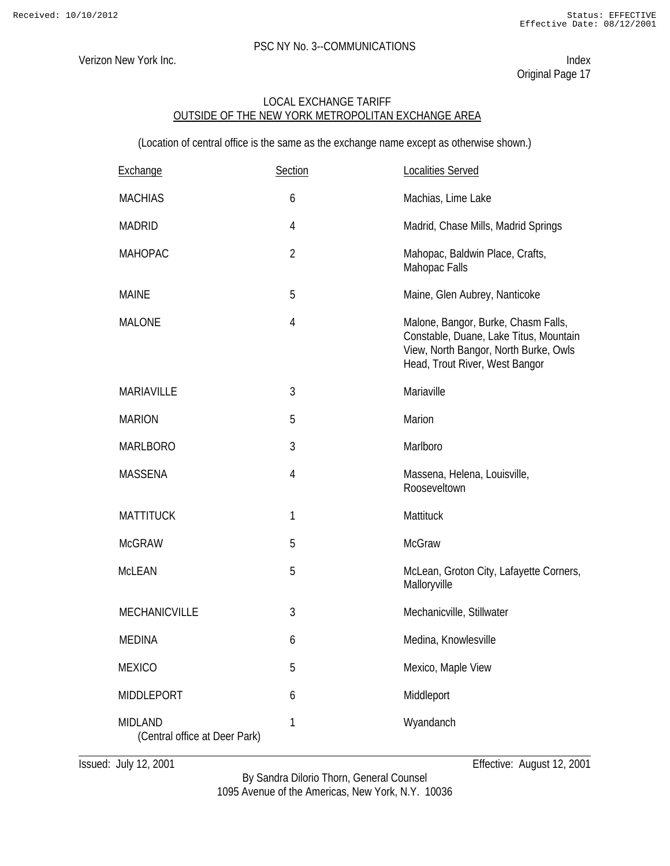#### Verizon New York Inc. **Index** Original Page 17

#### LOCAL EXCHANGE TARIFF OUTSIDE OF THE NEW YORK METROPOLITAN EXCHANGE AREA

(Location of central office is the same as the exchange name except as otherwise shown.)

| Exchange                                        | <b>Section</b> | <b>Localities Served</b>                                                                                                                                 |
|-------------------------------------------------|----------------|----------------------------------------------------------------------------------------------------------------------------------------------------------|
| <b>MACHIAS</b>                                  | 6              | Machias, Lime Lake                                                                                                                                       |
| <b>MADRID</b>                                   | $\overline{4}$ | Madrid, Chase Mills, Madrid Springs                                                                                                                      |
| <b>MAHOPAC</b>                                  | $\overline{2}$ | Mahopac, Baldwin Place, Crafts,<br>Mahopac Falls                                                                                                         |
| <b>MAINE</b>                                    | 5              | Maine, Glen Aubrey, Nanticoke                                                                                                                            |
| <b>MALONE</b>                                   | $\overline{4}$ | Malone, Bangor, Burke, Chasm Falls,<br>Constable, Duane, Lake Titus, Mountain<br>View, North Bangor, North Burke, Owls<br>Head, Trout River, West Bangor |
| MARIAVILLE                                      | $\mathfrak{Z}$ | Mariaville                                                                                                                                               |
| <b>MARION</b>                                   | 5              | Marion                                                                                                                                                   |
| <b>MARLBORO</b>                                 | $\mathfrak{Z}$ | Marlboro                                                                                                                                                 |
| <b>MASSENA</b>                                  | $\overline{4}$ | Massena, Helena, Louisville,<br>Rooseveltown                                                                                                             |
| <b>MATTITUCK</b>                                | 1              | Mattituck                                                                                                                                                |
| <b>McGRAW</b>                                   | 5              | <b>McGraw</b>                                                                                                                                            |
| <b>McLEAN</b>                                   | 5              | McLean, Groton City, Lafayette Corners,<br>Malloryville                                                                                                  |
| MECHANICVILLE                                   | $\mathfrak{Z}$ | Mechanicville, Stillwater                                                                                                                                |
| <b>MEDINA</b>                                   | 6              | Medina, Knowlesville                                                                                                                                     |
| <b>MEXICO</b>                                   | 5              | Mexico, Maple View                                                                                                                                       |
| MIDDLEPORT                                      | 6              | Middleport                                                                                                                                               |
| <b>MIDLAND</b><br>(Central office at Deer Park) | 1              | Wyandanch                                                                                                                                                |

Issued: July 12, 2001 Effective: August 12, 2001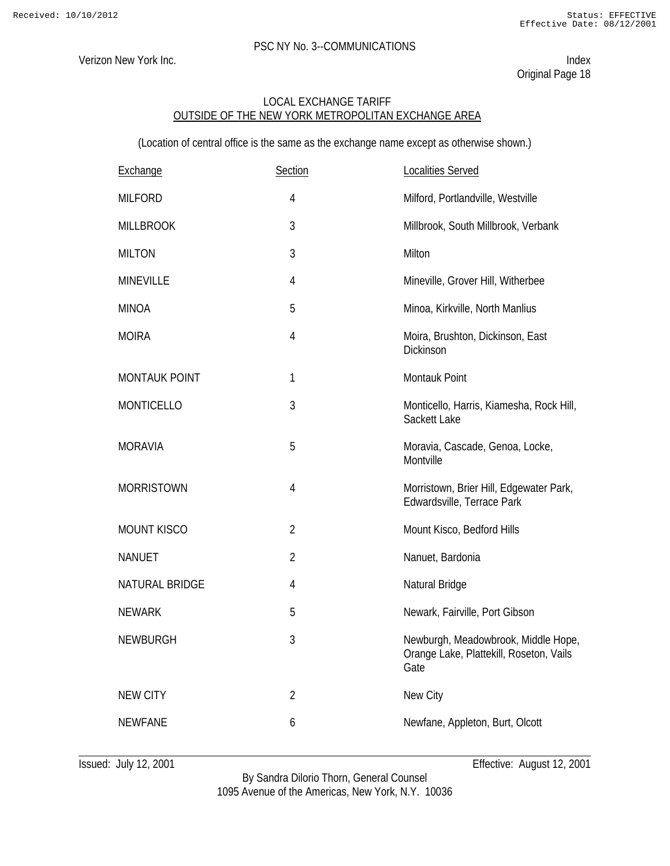Verizon New York Inc. **Index** 

Original Page 18

#### LOCAL EXCHANGE TARIFF OUTSIDE OF THE NEW YORK METROPOLITAN EXCHANGE AREA

(Location of central office is the same as the exchange name except as otherwise shown.)

| <b>Exchange</b>      | <b>Section</b> | <b>Localities Served</b>                                                               |
|----------------------|----------------|----------------------------------------------------------------------------------------|
| <b>MILFORD</b>       | $\overline{4}$ | Milford, Portlandville, Westville                                                      |
| <b>MILLBROOK</b>     | 3              | Millbrook, South Millbrook, Verbank                                                    |
| <b>MILTON</b>        | 3              | Milton                                                                                 |
| <b>MINEVILLE</b>     | 4              | Mineville, Grover Hill, Witherbee                                                      |
| <b>MINOA</b>         | 5              | Minoa, Kirkville, North Manlius                                                        |
| <b>MOIRA</b>         | 4              | Moira, Brushton, Dickinson, East<br>Dickinson                                          |
| <b>MONTAUK POINT</b> | 1              | Montauk Point                                                                          |
| <b>MONTICELLO</b>    | $\mathfrak{Z}$ | Monticello, Harris, Kiamesha, Rock Hill,<br>Sackett Lake                               |
| <b>MORAVIA</b>       | 5              | Moravia, Cascade, Genoa, Locke,<br>Montville                                           |
| <b>MORRISTOWN</b>    | $\overline{4}$ | Morristown, Brier Hill, Edgewater Park,<br>Edwardsville, Terrace Park                  |
| <b>MOUNT KISCO</b>   | $\overline{2}$ | Mount Kisco, Bedford Hills                                                             |
| <b>NANUET</b>        | $\overline{2}$ | Nanuet, Bardonia                                                                       |
| NATURAL BRIDGE       | 4              | Natural Bridge                                                                         |
| <b>NEWARK</b>        | 5              | Newark, Fairville, Port Gibson                                                         |
| <b>NEWBURGH</b>      | 3              | Newburgh, Meadowbrook, Middle Hope,<br>Orange Lake, Plattekill, Roseton, Vails<br>Gate |
| <b>NEW CITY</b>      | $\overline{2}$ | New City                                                                               |
| <b>NEWFANE</b>       | 6              | Newfane, Appleton, Burt, Olcott                                                        |

Issued: July 12, 2001 Effective: August 12, 2001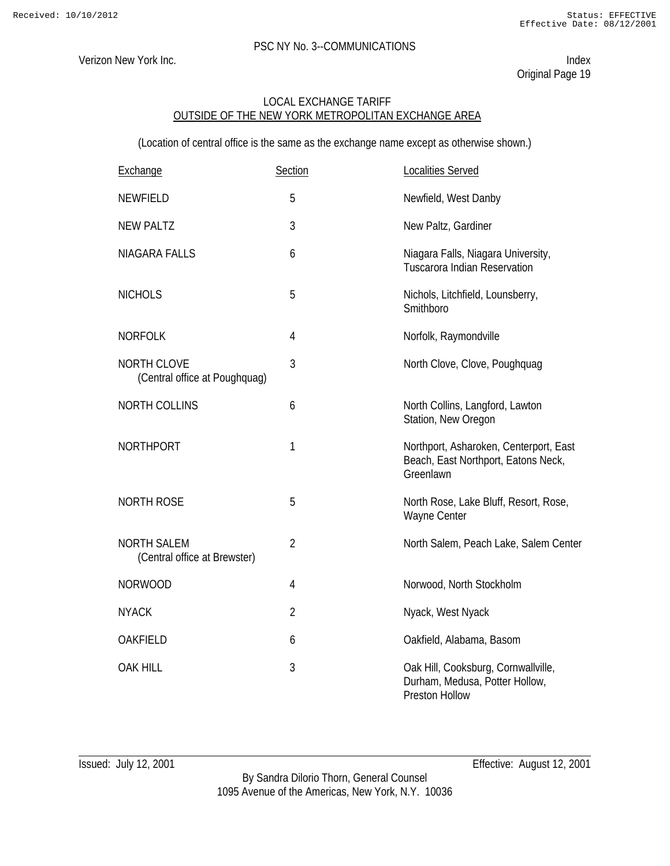# Verizon New York Inc. **Index** Original Page 19

# LOCAL EXCHANGE TARIFF OUTSIDE OF THE NEW YORK METROPOLITAN EXCHANGE AREA

| Exchange                                            | <b>Section</b> | <b>Localities Served</b>                                                                   |
|-----------------------------------------------------|----------------|--------------------------------------------------------------------------------------------|
| <b>NEWFIELD</b>                                     | 5              | Newfield, West Danby                                                                       |
| <b>NEW PALTZ</b>                                    | 3              | New Paltz, Gardiner                                                                        |
| <b>NIAGARA FALLS</b>                                | 6              | Niagara Falls, Niagara University,<br><b>Tuscarora Indian Reservation</b>                  |
| <b>NICHOLS</b>                                      | 5              | Nichols, Litchfield, Lounsberry,<br>Smithboro                                              |
| <b>NORFOLK</b>                                      | 4              | Norfolk, Raymondville                                                                      |
| <b>NORTH CLOVE</b><br>(Central office at Poughquag) | 3              | North Clove, Clove, Poughquag                                                              |
| <b>NORTH COLLINS</b>                                | 6              | North Collins, Langford, Lawton<br>Station, New Oregon                                     |
| <b>NORTHPORT</b>                                    | 1              | Northport, Asharoken, Centerport, East<br>Beach, East Northport, Eatons Neck,<br>Greenlawn |
| <b>NORTH ROSE</b>                                   | 5              | North Rose, Lake Bluff, Resort, Rose,<br>Wayne Center                                      |
| <b>NORTH SALEM</b><br>(Central office at Brewster)  | $\overline{2}$ | North Salem, Peach Lake, Salem Center                                                      |
| <b>NORWOOD</b>                                      | 4              | Norwood, North Stockholm                                                                   |
| <b>NYACK</b>                                        | $\overline{2}$ | Nyack, West Nyack                                                                          |
| <b>OAKFIELD</b>                                     | 6              | Oakfield, Alabama, Basom                                                                   |
| <b>OAK HILL</b>                                     | 3              | Oak Hill, Cooksburg, Cornwallville,<br>Durham, Medusa, Potter Hollow,<br>Preston Hollow    |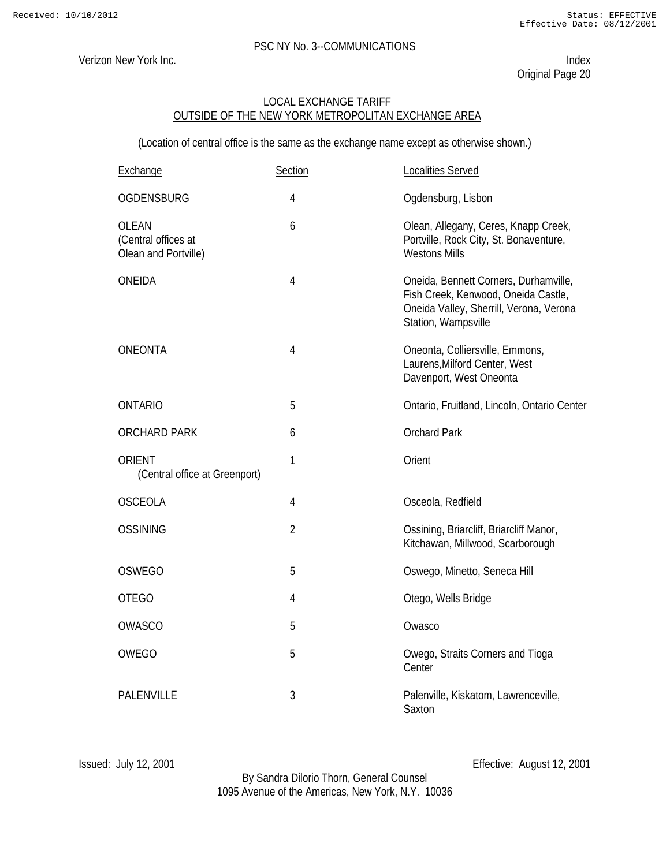Original Page 20

# LOCAL EXCHANGE TARIFF OUTSIDE OF THE NEW YORK METROPOLITAN EXCHANGE AREA

(Location of central office is the same as the exchange name except as otherwise shown.)

| Exchange                                             | <b>Section</b> | <b>Localities Served</b>                                                                                                                       |
|------------------------------------------------------|----------------|------------------------------------------------------------------------------------------------------------------------------------------------|
| <b>OGDENSBURG</b>                                    | 4              | Ogdensburg, Lisbon                                                                                                                             |
| OLEAN<br>(Central offices at<br>Olean and Portville) | 6              | Olean, Allegany, Ceres, Knapp Creek,<br>Portville, Rock City, St. Bonaventure,<br><b>Westons Mills</b>                                         |
| ONEIDA                                               | 4              | Oneida, Bennett Corners, Durhamville,<br>Fish Creek, Kenwood, Oneida Castle,<br>Oneida Valley, Sherrill, Verona, Verona<br>Station, Wampsville |
| <b>ONEONTA</b>                                       | $\overline{4}$ | Oneonta, Colliersville, Emmons,<br>Laurens, Milford Center, West<br>Davenport, West Oneonta                                                    |
| <b>ONTARIO</b>                                       | 5              | Ontario, Fruitland, Lincoln, Ontario Center                                                                                                    |
| <b>ORCHARD PARK</b>                                  | 6              | <b>Orchard Park</b>                                                                                                                            |
| <b>ORIENT</b><br>(Central office at Greenport)       | 1              | Orient                                                                                                                                         |
| <b>OSCEOLA</b>                                       | $\overline{4}$ | Osceola, Redfield                                                                                                                              |
| <b>OSSINING</b>                                      | $\overline{2}$ | Ossining, Briarcliff, Briarcliff Manor,<br>Kitchawan, Millwood, Scarborough                                                                    |
| <b>OSWEGO</b>                                        | 5              | Oswego, Minetto, Seneca Hill                                                                                                                   |
| <b>OTEGO</b>                                         | $\overline{4}$ | Otego, Wells Bridge                                                                                                                            |
| OWASCO                                               | 5              | Owasco                                                                                                                                         |
| <b>OWEGO</b>                                         | 5              | Owego, Straits Corners and Tioga<br>Center                                                                                                     |
| PALENVILLE                                           | 3              | Palenville, Kiskatom, Lawrenceville,<br>Saxton                                                                                                 |

Issued: July 12, 2001 Effective: August 12, 2001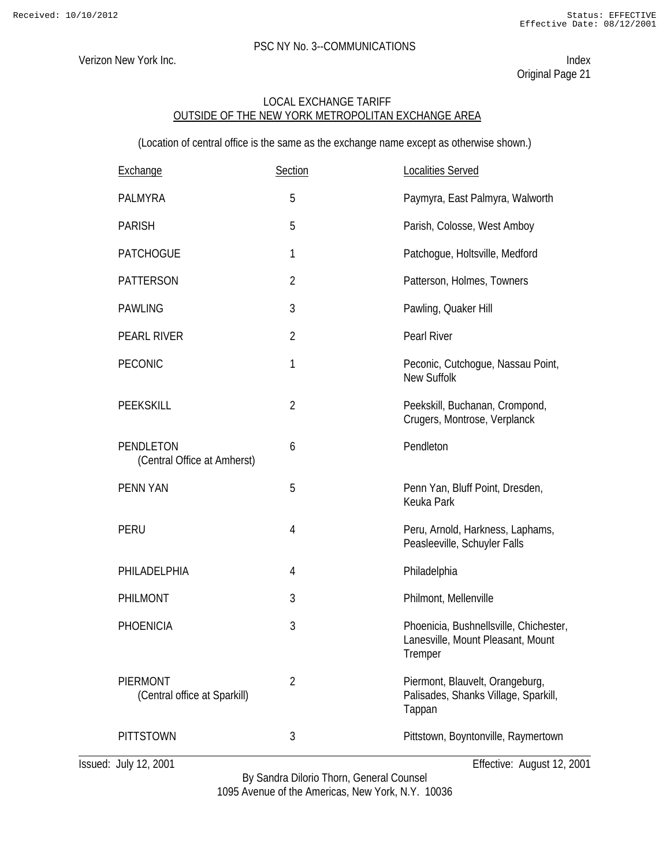Verizon New York Inc. **Index** 

Original Page 21

#### LOCAL EXCHANGE TARIFF OUTSIDE OF THE NEW YORK METROPOLITAN EXCHANGE AREA

(Location of central office is the same as the exchange name except as otherwise shown.)

| <b>Exchange</b>                          | <b>Section</b> | <b>Localities Served</b>                                                               |
|------------------------------------------|----------------|----------------------------------------------------------------------------------------|
| PALMYRA                                  | 5              | Paymyra, East Palmyra, Walworth                                                        |
| <b>PARISH</b>                            | 5              | Parish, Colosse, West Amboy                                                            |
| <b>PATCHOGUE</b>                         | 1              | Patchogue, Holtsville, Medford                                                         |
| <b>PATTERSON</b>                         | $\overline{2}$ | Patterson, Holmes, Towners                                                             |
| <b>PAWLING</b>                           | 3              | Pawling, Quaker Hill                                                                   |
| <b>PEARL RIVER</b>                       | $\overline{2}$ | <b>Pearl River</b>                                                                     |
| PECONIC                                  | 1              | Peconic, Cutchogue, Nassau Point,<br>New Suffolk                                       |
| PEEKSKILL                                | $\overline{2}$ | Peekskill, Buchanan, Crompond,<br>Crugers, Montrose, Verplanck                         |
| PENDLETON<br>(Central Office at Amherst) | 6              | Pendleton                                                                              |
| <b>PENN YAN</b>                          | 5              | Penn Yan, Bluff Point, Dresden,<br>Keuka Park                                          |
| <b>PERU</b>                              | $\overline{4}$ | Peru, Arnold, Harkness, Laphams,<br>Peasleeville, Schuyler Falls                       |
| PHILADELPHIA                             | 4              | Philadelphia                                                                           |
| PHILMONT                                 | 3              | Philmont, Mellenville                                                                  |
| <b>PHOENICIA</b>                         | $\mathfrak{Z}$ | Phoenicia, Bushnellsville, Chichester,<br>Lanesville, Mount Pleasant, Mount<br>Tremper |
| PIERMONT<br>(Central office at Sparkill) | $\overline{2}$ | Piermont, Blauvelt, Orangeburg,<br>Palisades, Shanks Village, Sparkill,<br>Tappan      |
| <b>PITTSTOWN</b>                         | 3              | Pittstown, Boyntonville, Raymertown                                                    |
|                                          |                |                                                                                        |

Issued: July 12, 2001 Effective: August 12, 2001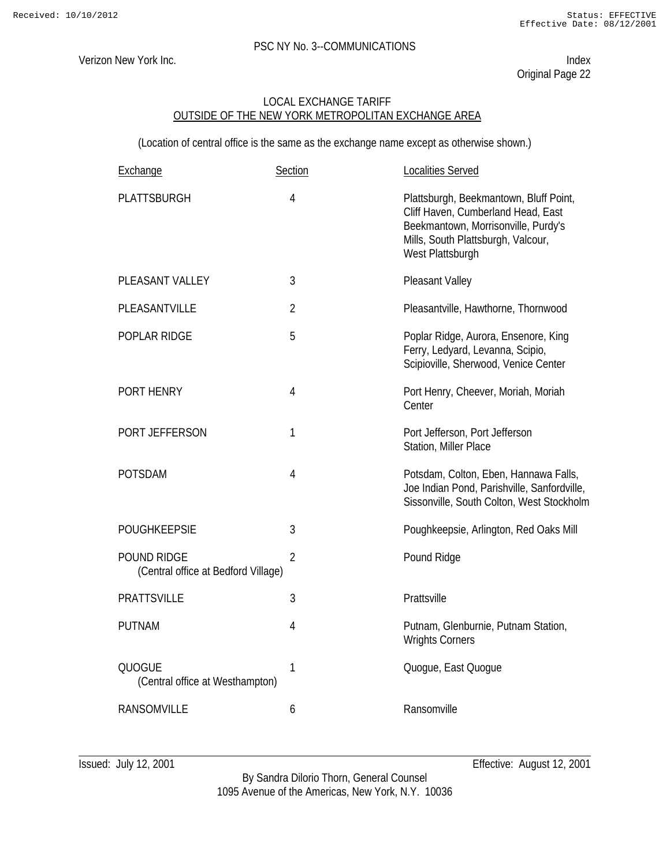Verizon New York Inc. **Index** 

Original Page 22

#### LOCAL EXCHANGE TARIFF OUTSIDE OF THE NEW YORK METROPOLITAN EXCHANGE AREA

(Location of central office is the same as the exchange name except as otherwise shown.)

| Exchange                                                  | Section        | <b>Localities Served</b>                                                                                                                                                      |
|-----------------------------------------------------------|----------------|-------------------------------------------------------------------------------------------------------------------------------------------------------------------------------|
| PLATTSBURGH                                               | 4              | Plattsburgh, Beekmantown, Bluff Point,<br>Cliff Haven, Cumberland Head, East<br>Beekmantown, Morrisonville, Purdy's<br>Mills, South Plattsburgh, Valcour,<br>West Plattsburgh |
| PLEASANT VALLEY                                           | 3              | Pleasant Valley                                                                                                                                                               |
| PLEASANTVILLE                                             | $\overline{2}$ | Pleasantville, Hawthorne, Thornwood                                                                                                                                           |
| POPLAR RIDGE                                              | 5              | Poplar Ridge, Aurora, Ensenore, King<br>Ferry, Ledyard, Levanna, Scipio,<br>Scipioville, Sherwood, Venice Center                                                              |
| PORT HENRY                                                | 4              | Port Henry, Cheever, Moriah, Moriah<br>Center                                                                                                                                 |
| PORT JEFFERSON                                            | 1              | Port Jefferson, Port Jefferson<br>Station, Miller Place                                                                                                                       |
| <b>POTSDAM</b>                                            | $\overline{4}$ | Potsdam, Colton, Eben, Hannawa Falls,<br>Joe Indian Pond, Parishville, Sanfordville,<br>Sissonville, South Colton, West Stockholm                                             |
| <b>POUGHKEEPSIE</b>                                       | 3              | Poughkeepsie, Arlington, Red Oaks Mill                                                                                                                                        |
| <b>POUND RIDGE</b><br>(Central office at Bedford Village) | $\overline{2}$ | Pound Ridge                                                                                                                                                                   |
| <b>PRATTSVILLE</b>                                        | 3              | Prattsville                                                                                                                                                                   |
| <b>PUTNAM</b>                                             | 4              | Putnam, Glenburnie, Putnam Station,<br><b>Wrights Corners</b>                                                                                                                 |
| QUOGUE<br>(Central office at Westhampton)                 | 1              | Quogue, East Quogue                                                                                                                                                           |
| <b>RANSOMVILLE</b>                                        | 6              | Ransomville                                                                                                                                                                   |

Issued: July 12, 2001 Effective: August 12, 2001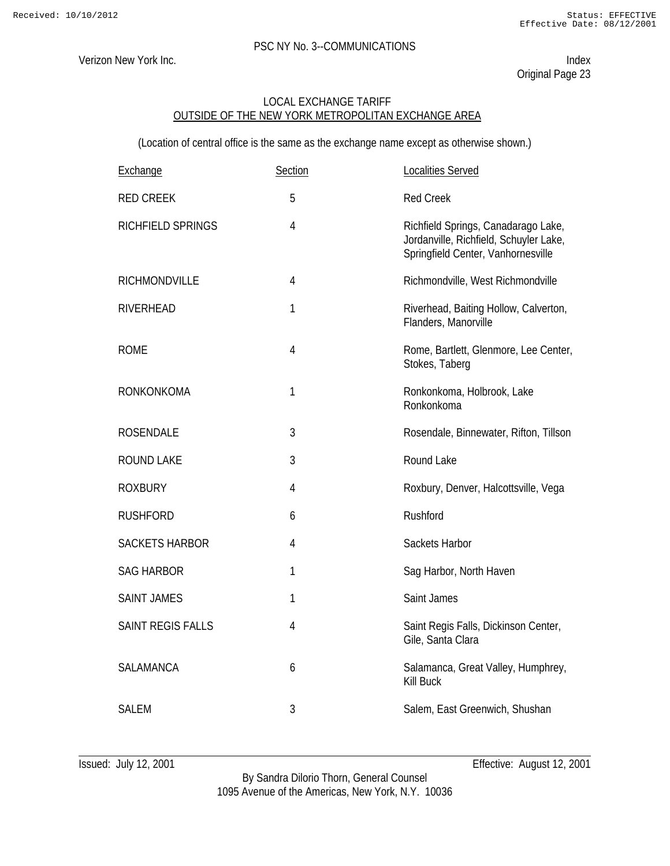#### Verizon New York Inc. **Index** Original Page 23

# LOCAL EXCHANGE TARIFF OUTSIDE OF THE NEW YORK METROPOLITAN EXCHANGE AREA

(Location of central office is the same as the exchange name except as otherwise shown.)

| Exchange                 | <b>Section</b> | <b>Localities Served</b>                                                                                            |
|--------------------------|----------------|---------------------------------------------------------------------------------------------------------------------|
| <b>RED CREEK</b>         | 5              | <b>Red Creek</b>                                                                                                    |
| RICHFIELD SPRINGS        | 4              | Richfield Springs, Canadarago Lake,<br>Jordanville, Richfield, Schuyler Lake,<br>Springfield Center, Vanhornesville |
| RICHMONDVILLE            | 4              | Richmondville, West Richmondville                                                                                   |
| <b>RIVERHEAD</b>         | 1              | Riverhead, Baiting Hollow, Calverton,<br>Flanders, Manorville                                                       |
| <b>ROME</b>              | $\overline{4}$ | Rome, Bartlett, Glenmore, Lee Center,<br>Stokes, Taberg                                                             |
| <b>RONKONKOMA</b>        | 1              | Ronkonkoma, Holbrook, Lake<br>Ronkonkoma                                                                            |
| <b>ROSENDALE</b>         | 3              | Rosendale, Binnewater, Rifton, Tillson                                                                              |
| <b>ROUND LAKE</b>        | 3              | Round Lake                                                                                                          |
| <b>ROXBURY</b>           | 4              | Roxbury, Denver, Halcottsville, Vega                                                                                |
| <b>RUSHFORD</b>          | 6              | Rushford                                                                                                            |
| <b>SACKETS HARBOR</b>    | 4              | Sackets Harbor                                                                                                      |
| <b>SAG HARBOR</b>        | 1              | Sag Harbor, North Haven                                                                                             |
| <b>SAINT JAMES</b>       | 1              | Saint James                                                                                                         |
| <b>SAINT REGIS FALLS</b> | 4              | Saint Regis Falls, Dickinson Center,<br>Gile, Santa Clara                                                           |
| SALAMANCA                | 6              | Salamanca, Great Valley, Humphrey,<br><b>Kill Buck</b>                                                              |
| <b>SALEM</b>             | 3              | Salem, East Greenwich, Shushan                                                                                      |
|                          |                |                                                                                                                     |

Issued: July 12, 2001 Effective: August 12, 2001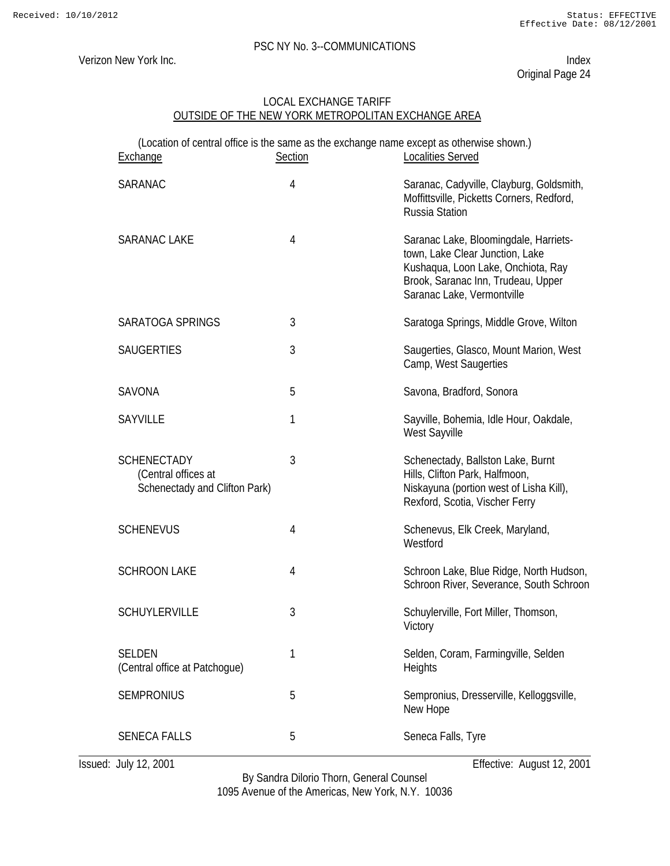Verizon New York Inc. **Index** 

Original Page 24

#### LOCAL EXCHANGE TARIFF OUTSIDE OF THE NEW YORK METROPOLITAN EXCHANGE AREA

| Exchange                                                                   | <b>Section</b> | (Location of central office is the same as the exchange name except as otherwise shown.)<br><b>Localities Served</b>                                                               |
|----------------------------------------------------------------------------|----------------|------------------------------------------------------------------------------------------------------------------------------------------------------------------------------------|
| SARANAC                                                                    | 4              | Saranac, Cadyville, Clayburg, Goldsmith,<br>Moffittsville, Picketts Corners, Redford,<br>Russia Station                                                                            |
| <b>SARANAC LAKE</b>                                                        | $\overline{4}$ | Saranac Lake, Bloomingdale, Harriets-<br>town, Lake Clear Junction, Lake<br>Kushaqua, Loon Lake, Onchiota, Ray<br>Brook, Saranac Inn, Trudeau, Upper<br>Saranac Lake, Vermontville |
| SARATOGA SPRINGS                                                           | 3              | Saratoga Springs, Middle Grove, Wilton                                                                                                                                             |
| <b>SAUGERTIES</b>                                                          | 3              | Saugerties, Glasco, Mount Marion, West<br>Camp, West Saugerties                                                                                                                    |
| SAVONA                                                                     | 5              | Savona, Bradford, Sonora                                                                                                                                                           |
| <b>SAYVILLE</b>                                                            | 1              | Sayville, Bohemia, Idle Hour, Oakdale,<br>West Sayville                                                                                                                            |
| <b>SCHENECTADY</b><br>(Central offices at<br>Schenectady and Clifton Park) | 3              | Schenectady, Ballston Lake, Burnt<br>Hills, Clifton Park, Halfmoon,<br>Niskayuna (portion west of Lisha Kill),<br>Rexford, Scotia, Vischer Ferry                                   |
| <b>SCHENEVUS</b>                                                           | 4              | Schenevus, Elk Creek, Maryland,<br>Westford                                                                                                                                        |
| <b>SCHROON LAKE</b>                                                        | 4              | Schroon Lake, Blue Ridge, North Hudson,<br>Schroon River, Severance, South Schroon                                                                                                 |
| <b>SCHUYLERVILLE</b>                                                       | 3              | Schuylerville, Fort Miller, Thomson,<br>Victory                                                                                                                                    |
| <b>SELDEN</b><br>(Central office at Patchoque)                             | 1              | Selden, Coram, Farmingville, Selden<br>Heights                                                                                                                                     |
| <b>SEMPRONIUS</b>                                                          | 5              | Sempronius, Dresserville, Kelloggsville,<br>New Hope                                                                                                                               |
| <b>SENECA FALLS</b>                                                        | 5              | Seneca Falls, Tyre                                                                                                                                                                 |
|                                                                            |                |                                                                                                                                                                                    |

Issued: July 12, 2001 Effective: August 12, 2001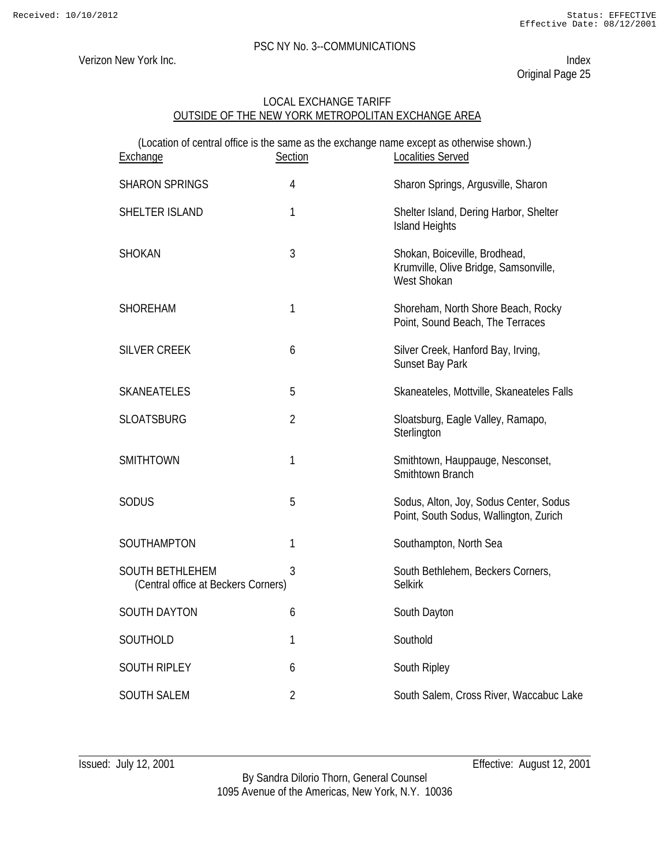Verizon New York Inc. **Index** 

Original Page 25

#### LOCAL EXCHANGE TARIFF OUTSIDE OF THE NEW YORK METROPOLITAN EXCHANGE AREA

| Exchange                                                      | <b>Section</b> | (Location of central office is the same as the exchange name except as otherwise shown.)<br><b>Localities Served</b> |
|---------------------------------------------------------------|----------------|----------------------------------------------------------------------------------------------------------------------|
| <b>SHARON SPRINGS</b>                                         | $\overline{4}$ | Sharon Springs, Argusville, Sharon                                                                                   |
| SHELTER ISLAND                                                | 1              | Shelter Island, Dering Harbor, Shelter<br><b>Island Heights</b>                                                      |
| <b>SHOKAN</b>                                                 | 3              | Shokan, Boiceville, Brodhead,<br>Krumville, Olive Bridge, Samsonville,<br>West Shokan                                |
| SHOREHAM                                                      | 1              | Shoreham, North Shore Beach, Rocky<br>Point, Sound Beach, The Terraces                                               |
| <b>SILVER CREEK</b>                                           | 6              | Silver Creek, Hanford Bay, Irving,<br>Sunset Bay Park                                                                |
| <b>SKANEATELES</b>                                            | 5              | Skaneateles, Mottville, Skaneateles Falls                                                                            |
| <b>SLOATSBURG</b>                                             | $\overline{2}$ | Sloatsburg, Eagle Valley, Ramapo,<br>Sterlington                                                                     |
| SMITHTOWN                                                     | 1              | Smithtown, Hauppauge, Nesconset,<br>Smithtown Branch                                                                 |
| SODUS                                                         | 5              | Sodus, Alton, Joy, Sodus Center, Sodus<br>Point, South Sodus, Wallington, Zurich                                     |
| SOUTHAMPTON                                                   | 1              | Southampton, North Sea                                                                                               |
| <b>SOUTH BETHLEHEM</b><br>(Central office at Beckers Corners) | 3              | South Bethlehem, Beckers Corners,<br><b>Selkirk</b>                                                                  |
| <b>SOUTH DAYTON</b>                                           | 6              | South Dayton                                                                                                         |
| SOUTHOLD                                                      | 1              | Southold                                                                                                             |
| <b>SOUTH RIPLEY</b>                                           | 6              | South Ripley                                                                                                         |
| <b>SOUTH SALEM</b>                                            | $\overline{2}$ | South Salem, Cross River, Waccabuc Lake                                                                              |

Issued: July 12, 2001 Effective: August 12, 2001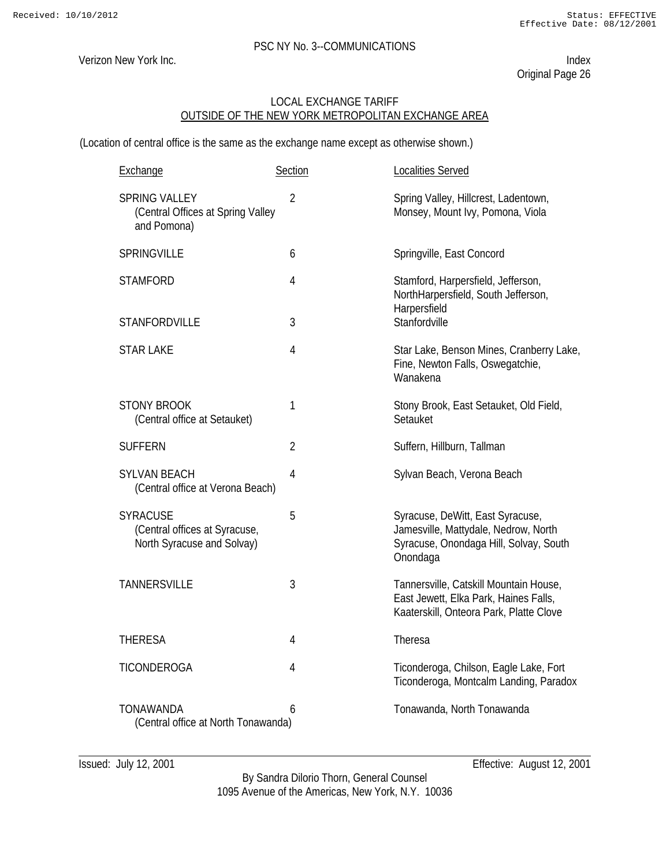Verizon New York Inc. **Index** 

Original Page 26

#### LOCAL EXCHANGE TARIFF OUTSIDE OF THE NEW YORK METROPOLITAN EXCHANGE AREA

(Location of central office is the same as the exchange name except as otherwise shown.)

| Exchange                                                                       | <b>Section</b> | <b>Localities Served</b>                                                                                                       |
|--------------------------------------------------------------------------------|----------------|--------------------------------------------------------------------------------------------------------------------------------|
| <b>SPRING VALLEY</b><br>(Central Offices at Spring Valley<br>and Pomona)       | $\overline{2}$ | Spring Valley, Hillcrest, Ladentown,<br>Monsey, Mount Ivy, Pomona, Viola                                                       |
| SPRINGVILLE                                                                    | 6              | Springville, East Concord                                                                                                      |
| <b>STAMFORD</b>                                                                | 4              | Stamford, Harpersfield, Jefferson,<br>NorthHarpersfield, South Jefferson,<br>Harpersfield                                      |
| STANFORDVILLE                                                                  | 3              | Stanfordville                                                                                                                  |
| <b>STAR LAKE</b>                                                               | $\overline{4}$ | Star Lake, Benson Mines, Cranberry Lake,<br>Fine, Newton Falls, Oswegatchie,<br>Wanakena                                       |
| <b>STONY BROOK</b><br>(Central office at Setauket)                             | 1              | Stony Brook, East Setauket, Old Field,<br>Setauket                                                                             |
| <b>SUFFERN</b>                                                                 | $\overline{2}$ | Suffern, Hillburn, Tallman                                                                                                     |
| <b>SYLVAN BEACH</b><br>(Central office at Verona Beach)                        | 4              | Sylvan Beach, Verona Beach                                                                                                     |
| <b>SYRACUSE</b><br>(Central offices at Syracuse,<br>North Syracuse and Solvay) | 5              | Syracuse, DeWitt, East Syracuse,<br>Jamesville, Mattydale, Nedrow, North<br>Syracuse, Onondaga Hill, Solvay, South<br>Onondaga |
| <b>TANNERSVILLE</b>                                                            | 3              | Tannersville, Catskill Mountain House,<br>East Jewett, Elka Park, Haines Falls,<br>Kaaterskill, Onteora Park, Platte Clove     |
| <b>THERESA</b>                                                                 | 4              | Theresa                                                                                                                        |
| TICONDEROGA                                                                    | 4              | Ticonderoga, Chilson, Eagle Lake, Fort<br>Ticonderoga, Montcalm Landing, Paradox                                               |
| <b>TONAWANDA</b><br>(Central office at North Tonawanda)                        | 6              | Tonawanda, North Tonawanda                                                                                                     |

Issued: July 12, 2001 Effective: August 12, 2001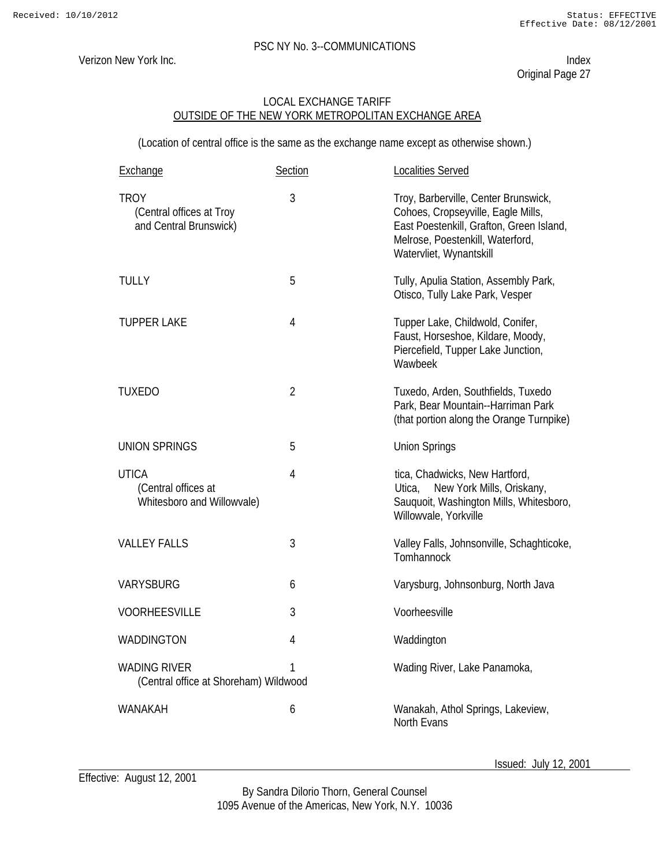#### LOCAL EXCHANGE TARIFF OUTSIDE OF THE NEW YORK METROPOLITAN EXCHANGE AREA

(Location of central office is the same as the exchange name except as otherwise shown.)

| Exchange                                                          | <b>Section</b> | <b>Localities Served</b>                                                                                                                                                              |
|-------------------------------------------------------------------|----------------|---------------------------------------------------------------------------------------------------------------------------------------------------------------------------------------|
| <b>TROY</b><br>(Central offices at Troy<br>and Central Brunswick) | 3              | Troy, Barberville, Center Brunswick,<br>Cohoes, Cropseyville, Eagle Mills,<br>East Poestenkill, Grafton, Green Island,<br>Melrose, Poestenkill, Waterford,<br>Watervliet, Wynantskill |
| <b>TULLY</b>                                                      | 5              | Tully, Apulia Station, Assembly Park,<br>Otisco, Tully Lake Park, Vesper                                                                                                              |
| <b>TUPPER LAKE</b>                                                | 4              | Tupper Lake, Childwold, Conifer,<br>Faust, Horseshoe, Kildare, Moody,<br>Piercefield, Tupper Lake Junction,<br>Wawbeek                                                                |
| <b>TUXEDO</b>                                                     | $\overline{2}$ | Tuxedo, Arden, Southfields, Tuxedo<br>Park, Bear Mountain--Harriman Park<br>(that portion along the Orange Turnpike)                                                                  |
| <b>UNION SPRINGS</b>                                              | 5              | <b>Union Springs</b>                                                                                                                                                                  |
| <b>UTICA</b><br>(Central offices at<br>Whitesboro and Willowvale) | 4              | tica, Chadwicks, New Hartford,<br>New York Mills, Oriskany,<br>Utica,<br>Sauquoit, Washington Mills, Whitesboro,<br>Willowvale, Yorkville                                             |
| <b>VALLEY FALLS</b>                                               | 3              | Valley Falls, Johnsonville, Schaghticoke,<br>Tomhannock                                                                                                                               |
| VARYSBURG                                                         | 6              | Varysburg, Johnsonburg, North Java                                                                                                                                                    |
| <b>VOORHEESVILLE</b>                                              | 3              | Voorheesville                                                                                                                                                                         |
| <b>WADDINGTON</b>                                                 | 4              | Waddington                                                                                                                                                                            |
| <b>WADING RIVER</b><br>(Central office at Shoreham) Wildwood      | 1              | Wading River, Lake Panamoka,                                                                                                                                                          |
| WANAKAH                                                           | 6              | Wanakah, Athol Springs, Lakeview,<br>North Evans                                                                                                                                      |

Issued: July 12, 2001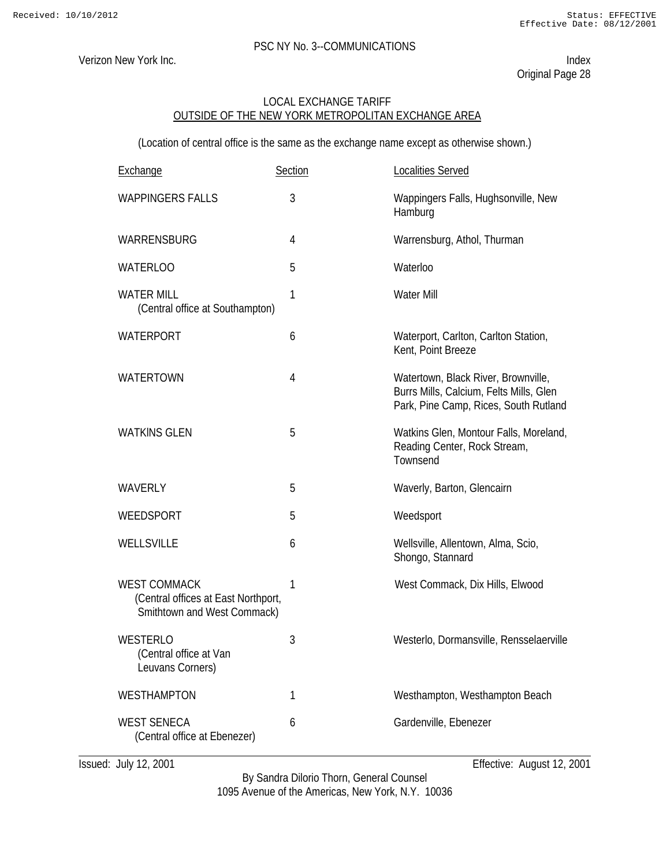Verizon New York Inc. **Index** 

Original Page 28

#### LOCAL EXCHANGE TARIFF OUTSIDE OF THE NEW YORK METROPOLITAN EXCHANGE AREA

(Location of central office is the same as the exchange name except as otherwise shown.)

| Exchange                                                                                  | <b>Section</b> | <b>Localities Served</b>                                                                                                |
|-------------------------------------------------------------------------------------------|----------------|-------------------------------------------------------------------------------------------------------------------------|
| <b>WAPPINGERS FALLS</b>                                                                   | $\mathfrak{Z}$ | Wappingers Falls, Hughsonville, New<br>Hamburg                                                                          |
| WARRENSBURG                                                                               | 4              | Warrensburg, Athol, Thurman                                                                                             |
| <b>WATERLOO</b>                                                                           | 5              | Waterloo                                                                                                                |
| <b>WATER MILL</b><br>(Central office at Southampton)                                      | 1              | <b>Water Mill</b>                                                                                                       |
| <b>WATERPORT</b>                                                                          | 6              | Waterport, Carlton, Carlton Station,<br>Kent, Point Breeze                                                              |
| WATERTOWN                                                                                 | 4              | Watertown, Black River, Brownville,<br>Burrs Mills, Calcium, Felts Mills, Glen<br>Park, Pine Camp, Rices, South Rutland |
| <b>WATKINS GLEN</b>                                                                       | 5              | Watkins Glen, Montour Falls, Moreland,<br>Reading Center, Rock Stream,<br>Townsend                                      |
| WAVERLY                                                                                   | 5              | Waverly, Barton, Glencairn                                                                                              |
| WEEDSPORT                                                                                 | 5              | Weedsport                                                                                                               |
| WELLSVILLE                                                                                | 6              | Wellsville, Allentown, Alma, Scio,<br>Shongo, Stannard                                                                  |
| <b>WEST COMMACK</b><br>(Central offices at East Northport,<br>Smithtown and West Commack) | 1              | West Commack, Dix Hills, Elwood                                                                                         |
| WESTERLO<br>(Central office at Van<br>Leuvans Corners)                                    | 3              | Westerlo, Dormansville, Rensselaerville                                                                                 |
| WESTHAMPTON                                                                               | 1              | Westhampton, Westhampton Beach                                                                                          |
| <b>WEST SENECA</b><br>(Central office at Ebenezer)                                        | 6              | Gardenville, Ebenezer                                                                                                   |

Issued: July 12, 2001 Effective: August 12, 2001